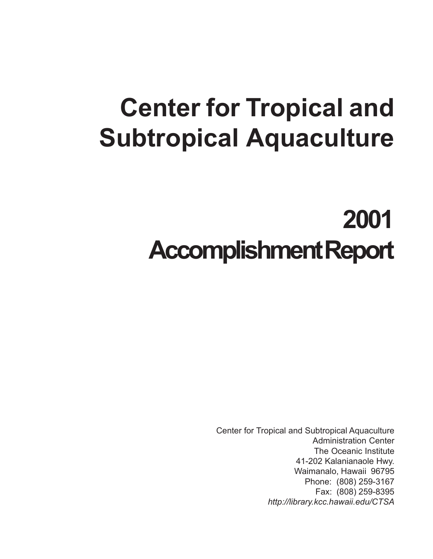# **Center for Tropical and Subtropical Aquaculture**

# **2001 Accomplishment Report**

Center for Tropical and Subtropical Aquaculture Administration Center The Oceanic Institute 41-202 Kalanianaole Hwy. Waimanalo, Hawaii 96795 Phone: (808) 259-3167 Fax: (808) 259-8395 *http://library.kcc.hawaii.edu/CTSA*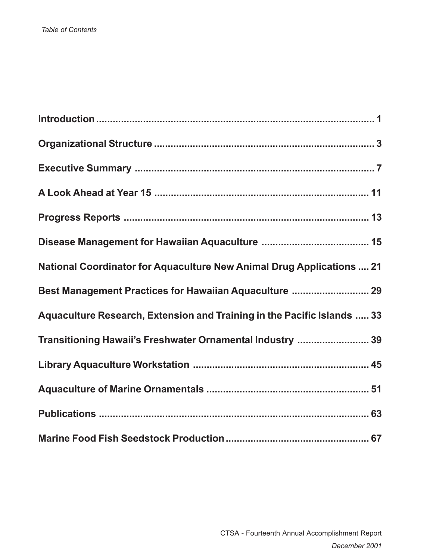| <b>National Coordinator for Aquaculture New Animal Drug Applications  21</b> |
|------------------------------------------------------------------------------|
| Best Management Practices for Hawaiian Aquaculture  29                       |
| Aquaculture Research, Extension and Training in the Pacific Islands  33      |
| Transitioning Hawaii's Freshwater Ornamental Industry  39                    |
|                                                                              |
|                                                                              |
|                                                                              |
|                                                                              |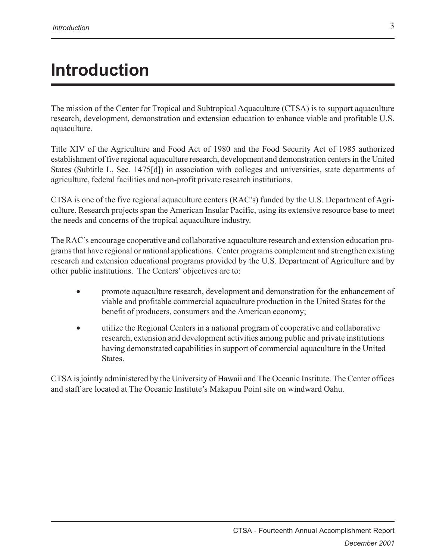## **Introduction**

The mission of the Center for Tropical and Subtropical Aquaculture (CTSA) is to support aquaculture research, development, demonstration and extension education to enhance viable and profitable U.S. aquaculture.

Title XIV of the Agriculture and Food Act of 1980 and the Food Security Act of 1985 authorized establishment of five regional aquaculture research, development and demonstration centers in the United States (Subtitle L, Sec. 1475[d]) in association with colleges and universities, state departments of agriculture, federal facilities and non-profit private research institutions.

CTSA is one of the five regional aquaculture centers (RAC's) funded by the U.S. Department of Agriculture. Research projects span the American Insular Pacific, using its extensive resource base to meet the needs and concerns of the tropical aquaculture industry.

The RAC's encourage cooperative and collaborative aquaculture research and extension education programs that have regional or national applications. Center programs complement and strengthen existing research and extension educational programs provided by the U.S. Department of Agriculture and by other public institutions. The Centers' objectives are to:

- promote aquaculture research, development and demonstration for the enhancement of viable and profitable commercial aquaculture production in the United States for the benefit of producers, consumers and the American economy;
- utilize the Regional Centers in a national program of cooperative and collaborative research, extension and development activities among public and private institutions having demonstrated capabilities in support of commercial aquaculture in the United **States**

CTSA is jointly administered by the University of Hawaii and The Oceanic Institute. The Center offices and staff are located at The Oceanic Institute's Makapuu Point site on windward Oahu.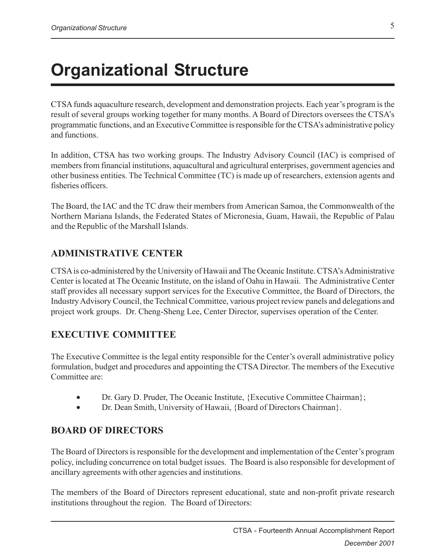## **Organizational Structure**

CTSA funds aquaculture research, development and demonstration projects. Each year's program is the result of several groups working together for many months. A Board of Directors oversees the CTSA's programmatic functions, and an Executive Committee is responsible for the CTSA's administrative policy and functions.

In addition, CTSA has two working groups. The Industry Advisory Council (IAC) is comprised of members from financial institutions, aquacultural and agricultural enterprises, government agencies and other business entities. The Technical Committee (TC) is made up of researchers, extension agents and fisheries officers.

The Board, the IAC and the TC draw their members from American Samoa, the Commonwealth of the Northern Mariana Islands, the Federated States of Micronesia, Guam, Hawaii, the Republic of Palau and the Republic of the Marshall Islands.

#### **ADMINISTRATIVE CENTER**

CTSA is co-administered by the University of Hawaii and The Oceanic Institute. CTSA's Administrative Center is located at The Oceanic Institute, on the island of Oahu in Hawaii. The Administrative Center staff provides all necessary support services for the Executive Committee, the Board of Directors, the Industry Advisory Council, the Technical Committee, various project review panels and delegations and project work groups. Dr. Cheng-Sheng Lee, Center Director, supervises operation of the Center.

#### **EXECUTIVE COMMITTEE**

The Executive Committee is the legal entity responsible for the Center's overall administrative policy formulation, budget and procedures and appointing the CTSA Director. The members of the Executive Committee are:

- Dr. Gary D. Pruder, The Oceanic Institute, {Executive Committee Chairman};
- Dr. Dean Smith, University of Hawaii, {Board of Directors Chairman}.

#### **BOARD OF DIRECTORS**

The Board of Directors is responsible for the development and implementation of the Center's program policy, including concurrence on total budget issues. The Board is also responsible for development of ancillary agreements with other agencies and institutions.

The members of the Board of Directors represent educational, state and non-profit private research institutions throughout the region. The Board of Directors: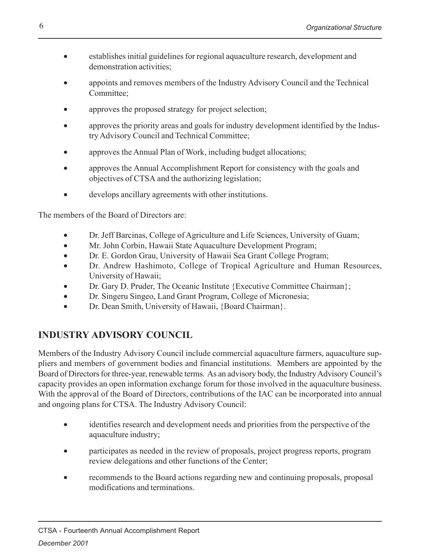- establishes initial guidelines for regional aquaculture research, development and demonstration activities;
- appoints and removes members of the Industry Advisory Council and the Technical Committee;
- approves the proposed strategy for project selection;
- approves the priority areas and goals for industry development identified by the Industry Advisory Council and Technical Committee;
- approves the Annual Plan of Work, including budget allocations;
- approves the Annual Accomplishment Report for consistency with the goals and objectives of CTSA and the authorizing legislation;
- develops ancillary agreements with other institutions.

The members of the Board of Directors are:

- Dr. Jeff Barcinas, College of Agriculture and Life Sciences, University of Guam;
- Mr. John Corbin, Hawaii State Aquaculture Development Program;
- Dr. E. Gordon Grau, University of Hawaii Sea Grant College Program;
- Dr. Andrew Hashimoto, College of Tropical Agriculture and Human Resources, University of Hawaii;
- Dr. Gary D. Pruder, The Oceanic Institute {Executive Committee Chairman};
- Dr. Singeru Singeo, Land Grant Program, College of Micronesia;
- Dr. Dean Smith, University of Hawaii, {Board Chairman}.

#### **INDUSTRY ADVISORY COUNCIL**

Members of the Industry Advisory Council include commercial aquaculture farmers, aquaculture suppliers and members of government bodies and financial institutions. Members are appointed by the Board of Directors for three-year, renewable terms. As an advisory body, the Industry Advisory Council's capacity provides an open information exchange forum for those involved in the aquaculture business. With the approval of the Board of Directors, contributions of the IAC can be incorporated into annual and ongoing plans for CTSA. The Industry Advisory Council:

- identifies research and development needs and priorities from the perspective of the aquaculture industry;
- participates as needed in the review of proposals, project progress reports, program review delegations and other functions of the Center;
- recommends to the Board actions regarding new and continuing proposals, proposal modifications and terminations.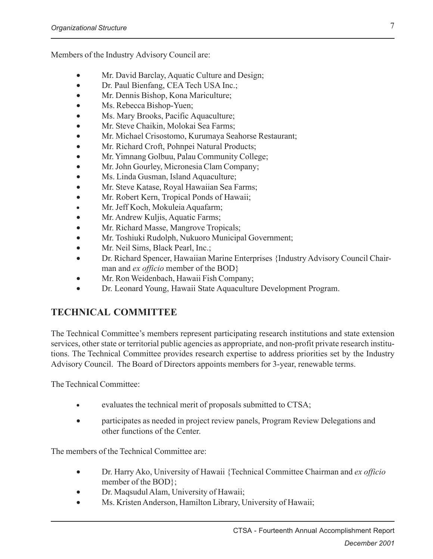Members of the Industry Advisory Council are:

- Mr. David Barclay, Aquatic Culture and Design;
- Dr. Paul Bienfang, CEA Tech USA Inc.;
- Mr. Dennis Bishop, Kona Mariculture;
- Ms. Rebecca Bishop-Yuen;
- Ms. Mary Brooks, Pacific Aquaculture;
- Mr. Steve Chaikin, Molokai Sea Farms;
- Mr. Michael Crisostomo, Kurumaya Seahorse Restaurant;
- Mr. Richard Croft, Pohnpei Natural Products;
- Mr. Yimnang Golbuu, Palau Community College;
- Mr. John Gourley, Micronesia Clam Company;
- Ms. Linda Gusman, Island Aquaculture;
- Mr. Steve Katase, Royal Hawaiian Sea Farms;
- Mr. Robert Kern, Tropical Ponds of Hawaii;
- Mr. Jeff Koch, Mokuleia Aquafarm;
- Mr. Andrew Kuljis, Aquatic Farms;
- Mr. Richard Masse, Mangrove Tropicals;
- Mr. Toshiuki Rudolph, Nukuoro Municipal Government;
- Mr. Neil Sims, Black Pearl, Inc.;
- Dr. Richard Spencer, Hawaiian Marine Enterprises {Industry Advisory Council Chairman and *ex officio* member of the BOD}
- Mr. Ron Weidenbach, Hawaii Fish Company;
- Dr. Leonard Young, Hawaii State Aquaculture Development Program.

#### **TECHNICAL COMMITTEE**

The Technical Committee's members represent participating research institutions and state extension services, other state or territorial public agencies as appropriate, and non-profit private research institutions. The Technical Committee provides research expertise to address priorities set by the Industry Advisory Council. The Board of Directors appoints members for 3-year, renewable terms.

The Technical Committee:

- evaluates the technical merit of proposals submitted to CTSA;
- participates as needed in project review panels, Program Review Delegations and other functions of the Center.

The members of the Technical Committee are:

- Dr. Harry Ako, University of Hawaii {Technical Committee Chairman and *ex officio* member of the BOD};
- Dr. Maqsudul Alam, University of Hawaii;
- Ms. Kristen Anderson, Hamilton Library, University of Hawaii;

7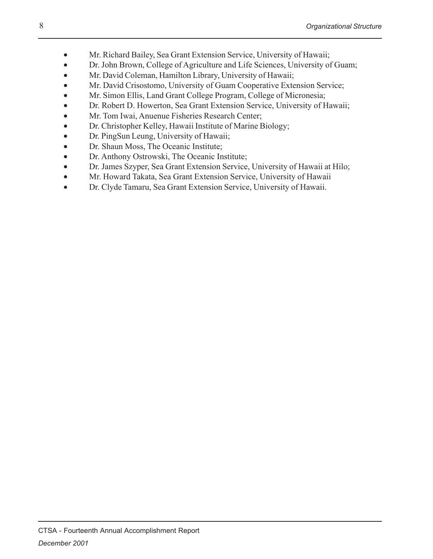- Mr. Richard Bailey, Sea Grant Extension Service, University of Hawaii;
- Dr. John Brown, College of Agriculture and Life Sciences, University of Guam;
- Mr. David Coleman, Hamilton Library, University of Hawaii;
- Mr. David Crisostomo, University of Guam Cooperative Extension Service;
- Mr. Simon Ellis, Land Grant College Program, College of Micronesia;
- Dr. Robert D. Howerton, Sea Grant Extension Service, University of Hawaii;
- Mr. Tom Iwai, Anuenue Fisheries Research Center;
- Dr. Christopher Kelley, Hawaii Institute of Marine Biology;
- Dr. PingSun Leung, University of Hawaii;
- Dr. Shaun Moss, The Oceanic Institute;
- Dr. Anthony Ostrowski, The Oceanic Institute;
- Dr. James Szyper, Sea Grant Extension Service, University of Hawaii at Hilo;
- Mr. Howard Takata, Sea Grant Extension Service, University of Hawaii
- Dr. Clyde Tamaru, Sea Grant Extension Service, University of Hawaii.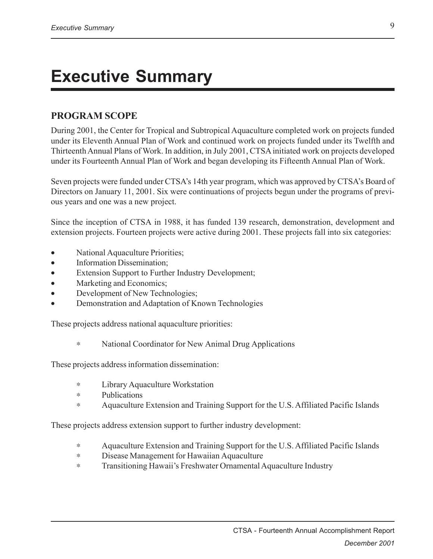## **Executive Summary**

#### **PROGRAM SCOPE**

During 2001, the Center for Tropical and Subtropical Aquaculture completed work on projects funded under its Eleventh Annual Plan of Work and continued work on projects funded under its Twelfth and Thirteenth Annual Plans of Work. In addition, in July 2001, CTSA initiated work on projects developed under its Fourteenth Annual Plan of Work and began developing its Fifteenth Annual Plan of Work.

Seven projects were funded under CTSA's 14th year program, which was approved by CTSA's Board of Directors on January 11, 2001. Six were continuations of projects begun under the programs of previous years and one was a new project.

Since the inception of CTSA in 1988, it has funded 139 research, demonstration, development and extension projects. Fourteen projects were active during 2001. These projects fall into six categories:

- National Aquaculture Priorities;
- Information Dissemination;
- Extension Support to Further Industry Development;
- Marketing and Economics;
- Development of New Technologies;
- Demonstration and Adaptation of Known Technologies

These projects address national aquaculture priorities:

∗ National Coordinator for New Animal Drug Applications

These projects address information dissemination:

- ∗ Library Aquaculture Workstation
- ∗ Publications
- ∗ Aquaculture Extension and Training Support for the U.S. Affiliated Pacific Islands

These projects address extension support to further industry development:

- ∗ Aquaculture Extension and Training Support for the U.S. Affiliated Pacific Islands
- ∗ Disease Management for Hawaiian Aquaculture
- ∗ Transitioning Hawaii's Freshwater Ornamental Aquaculture Industry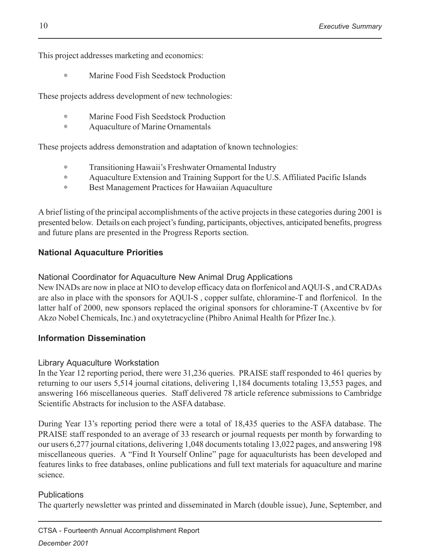This project addresses marketing and economics:

∗ Marine Food Fish Seedstock Production

These projects address development of new technologies:

- ∗ Marine Food Fish Seedstock Production
- ∗ Aquaculture of Marine Ornamentals

These projects address demonstration and adaptation of known technologies:

- ∗ Transitioning Hawaii's Freshwater Ornamental Industry
- ∗ Aquaculture Extension and Training Support for the U.S. Affiliated Pacific Islands
- ∗ Best Management Practices for Hawaiian Aquaculture

A brief listing of the principal accomplishments of the active projects in these categories during 2001 is presented below. Details on each project's funding, participants, objectives, anticipated benefits, progress and future plans are presented in the Progress Reports section.

#### **National Aquaculture Priorities**

National Coordinator for Aquaculture New Animal Drug Applications

New INADs are now in place at NIO to develop efficacy data on florfenicol and AQUI-S , and CRADAs are also in place with the sponsors for AQUI-S , copper sulfate, chloramine-T and florfenicol. In the latter half of 2000, new sponsors replaced the original sponsors for chloramine-T (Axcentive bv for Akzo Nobel Chemicals, Inc.) and oxytetracycline (Phibro Animal Health for Pfizer Inc.).

#### **Information Dissemination**

#### Library Aquaculture Workstation

In the Year 12 reporting period, there were 31,236 queries. PRAISE staff responded to 461 queries by returning to our users 5,514 journal citations, delivering 1,184 documents totaling 13,553 pages, and answering 166 miscellaneous queries. Staff delivered 78 article reference submissions to Cambridge Scientific Abstracts for inclusion to the ASFA database.

During Year 13's reporting period there were a total of 18,435 queries to the ASFA database. The PRAISE staff responded to an average of 33 research or journal requests per month by forwarding to our users 6,277 journal citations, delivering 1,048 documents totaling 13,022 pages, and answering 198 miscellaneous queries. A "Find It Yourself Online" page for aquaculturists has been developed and features links to free databases, online publications and full text materials for aquaculture and marine science.

#### **Publications**

The quarterly newsletter was printed and disseminated in March (double issue), June, September, and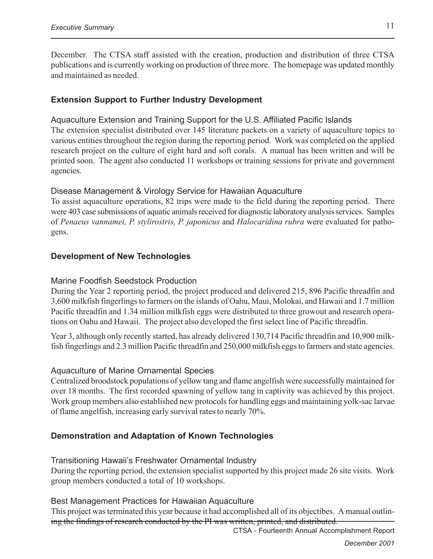December. The CTSA staff assisted with the creation, production and distribution of three CTSA publications and is currently working on production of three more. The homepage was updated monthly and maintained as needed.

#### **Extension Support to Further Industry Development**

#### Aquaculture Extension and Training Support for the U.S. Affiliated Pacific Islands

The extension specialist distributed over 145 literature packets on a variety of aquaculture topics to various entities throughout the region during the reporting period. Work was completed on the applied research project on the culture of eight hard and soft corals. A manual has been written and will be printed soon. The agent also conducted 11 workshops or training sessions for private and government agencies.

#### Disease Management & Virology Service for Hawaiian Aquaculture

To assist aquaculture operations, 82 trips were made to the field during the reporting period. There were 403 case submissions of aquatic animals received for diagnostic laboratory analysis services. Samples of *Penaeus vannamei, P. stylirostris, P. japonicus* and *Halocaridina rubra* were evaluated for pathogens.

#### **Development of New Technologies**

#### Marine Foodfish Seedstock Production

During the Year 2 reporting period, the project produced and delivered 215, 896 Pacific threadfin and 3,600 milkfish fingerlings to farmers on the islands of Oahu, Maui, Molokai, and Hawaii and 1.7 million Pacific threadfin and 1.34 million milkfish eggs were distributed to three growout and research operations on Oahu and Hawaii. The project also developed the first select line of Pacific threadfin.

Year 3, although only recently started, has already delivered 130,714 Pacific threadfin and 10,900 milkfish fingerlings and 2.3 million Pacific threadfin and 250,000 milkfish eggs to farmers and state agencies.

#### Aquaculture of Marine Ornamental Species

Centralized broodstock populations of yellow tang and flame angelfish were successfully maintained for over 18 months. The first recorded spawning of yellow tang in captivity was achieved by this project. Work group members also established new protocols for handling eggs and maintaining yolk-sac larvae of flame angelfish, increasing early survival rates to nearly 70%.

#### **Demonstration and Adaptation of Known Technologies**

Transitioning Hawaii's Freshwater Ornamental Industry During the reporting period, the extension specialist supported by this project made 26 site visits. Work group members conducted a total of 10 workshops.

Best Management Practices for Hawaiian Aquaculture

This project was terminated this year because it had accomplished all of its objectibes. A manual outlining the findings of research conducted by the PI was written, printed, and distributed.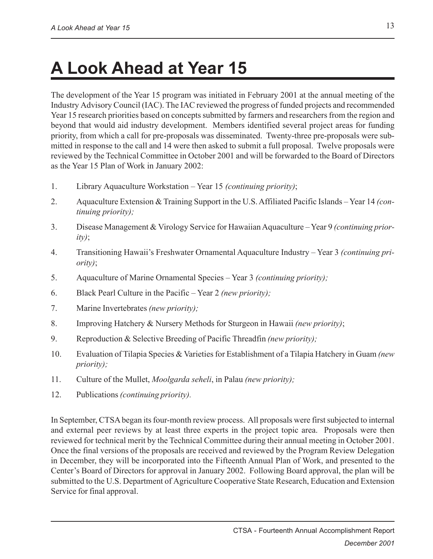## **A Look Ahead at Year 15**

The development of the Year 15 program was initiated in February 2001 at the annual meeting of the Industry Advisory Council (IAC). The IAC reviewed the progress of funded projects and recommended Year 15 research priorities based on concepts submitted by farmers and researchers from the region and beyond that would aid industry development. Members identified several project areas for funding priority, from which a call for pre-proposals was disseminated. Twenty-three pre-proposals were submitted in response to the call and 14 were then asked to submit a full proposal. Twelve proposals were reviewed by the Technical Committee in October 2001 and will be forwarded to the Board of Directors as the Year 15 Plan of Work in January 2002:

- 1. Library Aquaculture Workstation Year 15 *(continuing priority)*;
- 2. Aquaculture Extension & Training Support in the U.S. Affiliated Pacific Islands Year 14 *(continuing priority);*
- 3. Disease Management & Virology Service for Hawaiian Aquaculture Year 9 *(continuing priority)*;
- 4. Transitioning Hawaii's Freshwater Ornamental Aquaculture Industry Year 3 *(continuing priority)*;
- 5. Aquaculture of Marine Ornamental Species Year 3 *(continuing priority);*
- 6. Black Pearl Culture in the Pacific Year 2 *(new priority);*
- 7. Marine Invertebrates *(new priority);*
- 8. Improving Hatchery & Nursery Methods for Sturgeon in Hawaii *(new priority)*;
- 9. Reproduction & Selective Breeding of Pacific Threadfin *(new priority);*
- 10. Evaluation of Tilapia Species & Varieties for Establishment of a Tilapia Hatchery in Guam *(new priority);*
- 11. Culture of the Mullet, *Moolgarda seheli*, in Palau *(new priority);*
- 12. Publications *(continuing priority).*

In September, CTSA began its four-month review process. All proposals were first subjected to internal and external peer reviews by at least three experts in the project topic area. Proposals were then reviewed for technical merit by the Technical Committee during their annual meeting in October 2001. Once the final versions of the proposals are received and reviewed by the Program Review Delegation in December, they will be incorporated into the Fifteenth Annual Plan of Work, and presented to the Center's Board of Directors for approval in January 2002. Following Board approval, the plan will be submitted to the U.S. Department of Agriculture Cooperative State Research, Education and Extension Service for final approval.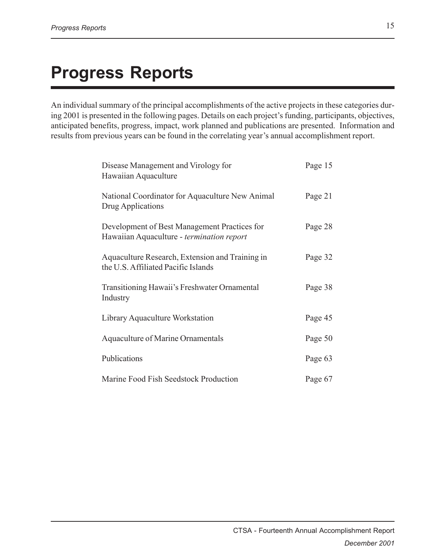## **Progress Reports**

An individual summary of the principal accomplishments of the active projects in these categories during 2001 is presented in the following pages. Details on each project's funding, participants, objectives, anticipated benefits, progress, impact, work planned and publications are presented. Information and results from previous years can be found in the correlating year's annual accomplishment report.

| Disease Management and Virology for<br>Hawaiian Aquaculture                               | Page 15 |
|-------------------------------------------------------------------------------------------|---------|
| National Coordinator for Aquaculture New Animal<br>Drug Applications                      | Page 21 |
| Development of Best Management Practices for<br>Hawaiian Aquaculture - termination report | Page 28 |
| Aquaculture Research, Extension and Training in<br>the U.S. Affiliated Pacific Islands    | Page 32 |
| Transitioning Hawaii's Freshwater Ornamental<br>Industry                                  | Page 38 |
| Library Aquaculture Workstation                                                           | Page 45 |
| <b>Aquaculture of Marine Ornamentals</b>                                                  | Page 50 |
| Publications                                                                              | Page 63 |
| Marine Food Fish Seedstock Production                                                     | Page 67 |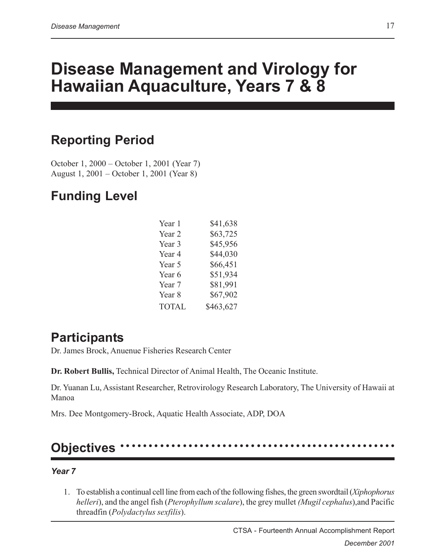## **Disease Management and Virology for Hawaiian Aquaculture, Years 7 & 8**

### **Reporting Period**

October 1, 2000 – October 1, 2001 (Year 7) August 1, 2001 – October 1, 2001 (Year 8)

### **Funding Level**

| Year 1            | \$41,638  |
|-------------------|-----------|
| Year <sub>2</sub> | \$63,725  |
| Year 3            | \$45,956  |
| Year 4            | \$44,030  |
| Year 5            | \$66,451  |
| Year 6            | \$51,934  |
| Year 7            | \$81,991  |
| Year 8            | \$67,902  |
| <b>TOTAL</b>      | \$463,627 |

### **Participants**

Dr. James Brock, Anuenue Fisheries Research Center

**Dr. Robert Bullis,** Technical Director of Animal Health, The Oceanic Institute.

Dr. Yuanan Lu, Assistant Researcher, Retrovirology Research Laboratory, The University of Hawaii at Manoa

Mrs. Dee Montgomery-Brock, Aquatic Health Associate, ADP, DOA

### **Objectives**

#### *Year 7*

1. To establish a continual cell line from each of the following fishes, the green swordtail (*Xiphophorus helleri*), and the angel fish (*Pterophyllum scalare*), the grey mullet *(Mugil cephalus*),and Pacific threadfin (*Polydactylus sexfilis*).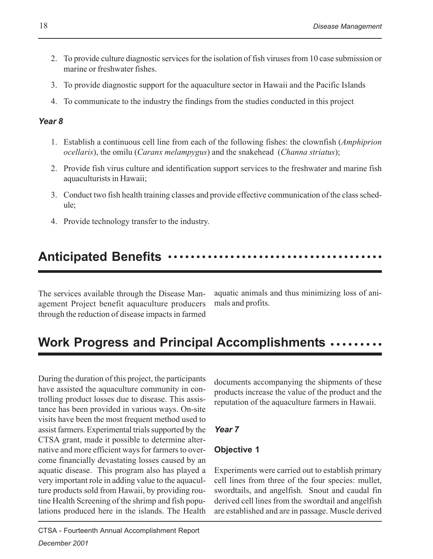- 2. To provide culture diagnostic services for the isolation of fish viruses from 10 case submission or marine or freshwater fishes.
- 3. To provide diagnostic support for the aquaculture sector in Hawaii and the Pacific Islands
- 4. To communicate to the industry the findings from the studies conducted in this project

#### *Year 8*

- 1. Establish a continuous cell line from each of the following fishes: the clownfish (*Amphiprion ocellaris*), the omilu (*Caranx melampygus*) and the snakehead (*Channa striatus*);
- 2. Provide fish virus culture and identification support services to the freshwater and marine fish aquaculturists in Hawaii;
- 3. Conduct two fish health training classes and provide effective communication of the class schedule;
- 4. Provide technology transfer to the industry.

#### **Anticipated Benefits** ○○○○○○○○○○○○○○○○○○○○○○○○○○○○○○○○○○○○○○

The services available through the Disease Management Project benefit aquaculture producers through the reduction of disease impacts in farmed

aquatic animals and thus minimizing loss of animals and profits.

### **Work Progress and Principal Accomplishments ........**

During the duration of this project, the participants have assisted the aquaculture community in controlling product losses due to disease. This assistance has been provided in various ways. On-site visits have been the most frequent method used to assist farmers. Experimental trials supported by the CTSA grant, made it possible to determine alternative and more efficient ways for farmers to overcome financially devastating losses caused by an aquatic disease. This program also has played a very important role in adding value to the aquaculture products sold from Hawaii, by providing routine Health Screening of the shrimp and fish populations produced here in the islands. The Health

documents accompanying the shipments of these products increase the value of the product and the reputation of the aquaculture farmers in Hawaii.

#### *Year 7*

#### **Objective 1**

Experiments were carried out to establish primary cell lines from three of the four species: mullet, swordtails, and angelfish. Snout and caudal fin derived cell lines from the swordtail and angelfish are established and are in passage. Muscle derived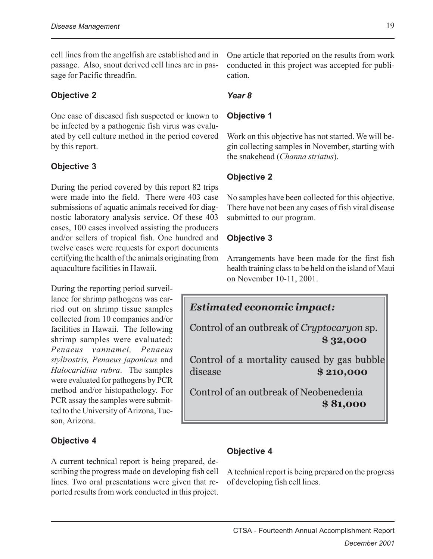cell lines from the angelfish are established and in passage. Also, snout derived cell lines are in passage for Pacific threadfin.

#### **Objective 2**

One case of diseased fish suspected or known to be infected by a pathogenic fish virus was evaluated by cell culture method in the period covered by this report.

#### **Objective 3**

During the period covered by this report 82 trips were made into the field. There were 403 case submissions of aquatic animals received for diagnostic laboratory analysis service. Of these 403 cases, 100 cases involved assisting the producers and/or sellers of tropical fish. One hundred and twelve cases were requests for export documents certifying the health of the animals originating from aquaculture facilities in Hawaii.

During the reporting period surveillance for shrimp pathogens was carried out on shrimp tissue samples collected from 10 companies and/or facilities in Hawaii. The following shrimp samples were evaluated: *Penaeus vannamei, Penaeus stylirostris, Penaeus japonicus* and *Halocaridina rubra*. The samples were evaluated for pathogens by PCR method and/or histopathology. For PCR assay the samples were submitted to the University of Arizona, Tucson, Arizona.

#### **Objective 4**

A current technical report is being prepared, describing the progress made on developing fish cell lines. Two oral presentations were given that reported results from work conducted in this project. One article that reported on the results from work conducted in this project was accepted for publication.

#### *Year 8*

#### **Objective 1**

Work on this objective has not started. We will begin collecting samples in November, starting with the snakehead (*Channa striatus*).

#### **Objective 2**

No samples have been collected for this objective. There have not been any cases of fish viral disease submitted to our program.

#### **Objective 3**

Arrangements have been made for the first fish health training class to be held on the island of Maui on November 10-11, 2001.



 **\$ 81,000**

#### **Objective 4**

A technical report is being prepared on the progress of developing fish cell lines.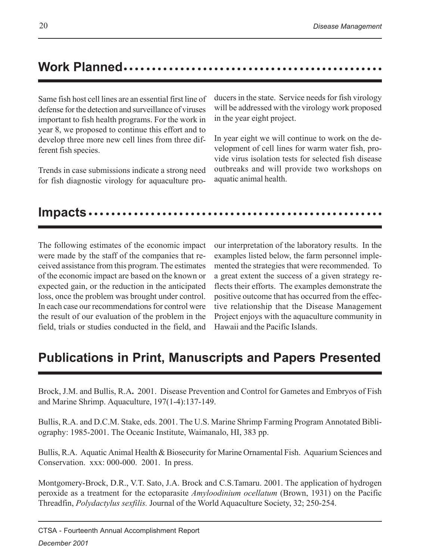### **Work Planned** ○○○○○○○○○○○○○○○○○○○○○○○○○○○○○○○○○○ ○○○○○○○○○○○○

Same fish host cell lines are an essential first line of defense for the detection and surveillance of viruses important to fish health programs. For the work in year 8, we proposed to continue this effort and to develop three more new cell lines from three different fish species.

Trends in case submissions indicate a strong need for fish diagnostic virology for aquaculture producers in the state. Service needs for fish virology will be addressed with the virology work proposed in the year eight project.

In year eight we will continue to work on the development of cell lines for warm water fish, provide virus isolation tests for selected fish disease outbreaks and will provide two workshops on aquatic animal health.

#### **Impacts** ○○○○○○○○○○○○○○○○○○○○○○○○○○○○○○○○○○○○○○○○○○○○○○○○○○○○

The following estimates of the economic impact were made by the staff of the companies that received assistance from this program. The estimates of the economic impact are based on the known or expected gain, or the reduction in the anticipated loss, once the problem was brought under control. In each case our recommendations for control were the result of our evaluation of the problem in the field, trials or studies conducted in the field, and our interpretation of the laboratory results. In the examples listed below, the farm personnel implemented the strategies that were recommended. To a great extent the success of a given strategy reflects their efforts. The examples demonstrate the positive outcome that has occurred from the effective relationship that the Disease Management Project enjoys with the aquaculture community in Hawaii and the Pacific Islands.

### **Publications in Print, Manuscripts and Papers Presented**

Brock, J.M. and Bullis, R.A**.** 2001. Disease Prevention and Control for Gametes and Embryos of Fish and Marine Shrimp. Aquaculture, 197(1-4):137-149.

Bullis, R.A. and D.C.M. Stake, eds. 2001. The U.S. Marine Shrimp Farming Program Annotated Bibliography: 1985-2001. The Oceanic Institute, Waimanalo, HI, 383 pp.

Bullis, R.A. Aquatic Animal Health & Biosecurity for Marine Ornamental Fish. Aquarium Sciences and Conservation. xxx: 000-000. 2001. In press.

Montgomery-Brock, D.R., V.T. Sato, J.A. Brock and C.S.Tamaru. 2001. The application of hydrogen peroxide as a treatment for the ectoparasite *Amyloodinium ocellatum* (Brown, 1931) on the Pacific Threadfin, *Polydactylus sexfilis.* Journal of the World Aquaculture Society, 32; 250-254.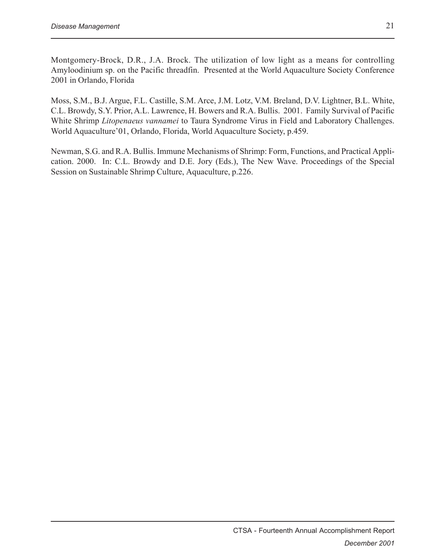Montgomery-Brock, D.R., J.A. Brock. The utilization of low light as a means for controlling Amyloodinium sp. on the Pacific threadfin. Presented at the World Aquaculture Society Conference 2001 in Orlando, Florida

Moss, S.M., B.J. Argue, F.L. Castille, S.M. Arce, J.M. Lotz, V.M. Breland, D.V. Lightner, B.L. White, C.L. Browdy, S.Y. Prior, A.L. Lawrence, H. Bowers and R.A. Bullis. 2001. Family Survival of Pacific White Shrimp *Litopenaeus vannamei* to Taura Syndrome Virus in Field and Laboratory Challenges. World Aquaculture'01, Orlando, Florida, World Aquaculture Society, p.459.

Newman, S.G. and R.A. Bullis. Immune Mechanisms of Shrimp: Form, Functions, and Practical Application. 2000. In: C.L. Browdy and D.E. Jory (Eds.), The New Wave. Proceedings of the Special Session on Sustainable Shrimp Culture, Aquaculture, p.226.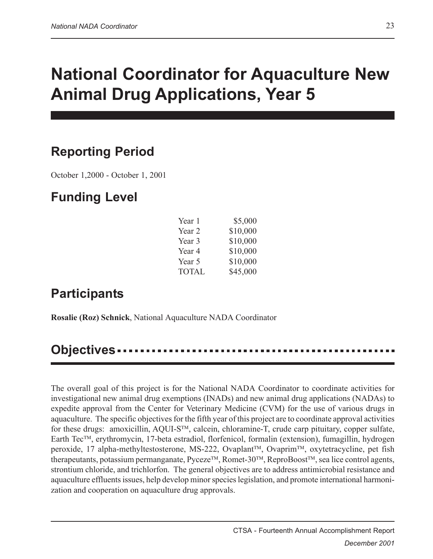## **National Coordinator for Aquaculture New Animal Drug Applications, Year 5**

### **Reporting Period**

October 1,2000 - October 1, 2001

### **Funding Level**

| Year 1       | \$5,000  |
|--------------|----------|
| Year 2       | \$10,000 |
| Year 3       | \$10,000 |
| Year 4       | \$10,000 |
| Year 5       | \$10,000 |
| <b>TOTAL</b> | \$45,000 |

### **Participants**

**Rosalie (Roz) Schnick**, National Aquaculture NADA Coordinator

#### **Objectives**

The overall goal of this project is for the National NADA Coordinator to coordinate activities for investigational new animal drug exemptions (INADs) and new animal drug applications (NADAs) to expedite approval from the Center for Veterinary Medicine (CVM) for the use of various drugs in aquaculture. The specific objectives for the fifth year of this project are to coordinate approval activities for these drugs: amoxicillin,  $AQUI-S^{TM}$ , calcein, chloramine-T, crude carp pituitary, copper sulfate, Earth Tec<sup>TM</sup>, erythromycin, 17-beta estradiol, florfenicol, formalin (extension), fumagillin, hydrogen peroxide, 17 alpha-methyltestosterone, MS-222, Ovaplant™, Ovaprim™, oxytetracycline, pet fish therapeutants, potassium permanganate, Pyceze<sup>TM</sup>, Romet-30<sup>TM</sup>, ReproBoost<sup>TM</sup>, sea lice control agents, strontium chloride, and trichlorfon. The general objectives are to address antimicrobial resistance and aquaculture effluents issues, help develop minor species legislation, and promote international harmonization and cooperation on aquaculture drug approvals.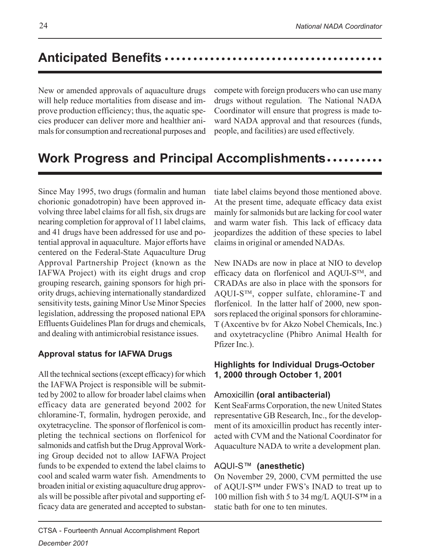### **Anticipated Benefits** ○○○○○○○○○ ○○○○○○○○○○○○○○○○○○○○○○○○○○○○○○

New or amended approvals of aquaculture drugs will help reduce mortalities from disease and improve production efficiency; thus, the aquatic species producer can deliver more and healthier animals for consumption and recreational purposes and compete with foreign producers who can use many drugs without regulation. The National NADA Coordinator will ensure that progress is made toward NADA approval and that resources (funds, people, and facilities) are used effectively.

### **Work Progress and Principal Accomplishments..........**

Since May 1995, two drugs (formalin and human chorionic gonadotropin) have been approved involving three label claims for all fish, six drugs are nearing completion for approval of 11 label claims, and 41 drugs have been addressed for use and potential approval in aquaculture. Major efforts have centered on the Federal-State Aquaculture Drug Approval Partnership Project (known as the IAFWA Project) with its eight drugs and crop grouping research, gaining sponsors for high priority drugs, achieving internationally standardized sensitivity tests, gaining Minor Use Minor Species legislation, addressing the proposed national EPA Effluents Guidelines Plan for drugs and chemicals, and dealing with antimicrobial resistance issues.

#### **Approval status for IAFWA Drugs**

All the technical sections (except efficacy) for which the IAFWA Project is responsible will be submitted by 2002 to allow for broader label claims when efficacy data are generated beyond 2002 for chloramine-T, formalin, hydrogen peroxide, and oxytetracycline. The sponsor of florfenicol is completing the technical sections on florfenicol for salmonids and catfish but the Drug Approval Working Group decided not to allow IAFWA Project funds to be expended to extend the label claims to cool and scaled warm water fish. Amendments to broaden initial or existing aquaculture drug approvals will be possible after pivotal and supporting efficacy data are generated and accepted to substantiate label claims beyond those mentioned above. At the present time, adequate efficacy data exist mainly for salmonids but are lacking for cool water and warm water fish. This lack of efficacy data jeopardizes the addition of these species to label claims in original or amended NADAs.

New INADs are now in place at NIO to develop efficacy data on florfenicol and AQUI-S $TM$ , and CRADAs are also in place with the sponsors for  $AQUI-S^{TM}$ , copper sulfate, chloramine-T and florfenicol. In the latter half of 2000, new sponsors replaced the original sponsors for chloramine-T (Axcentive bv for Akzo Nobel Chemicals, Inc.) and oxytetracycline (Phibro Animal Health for Pfizer Inc.).

#### **Highlights for Individual Drugs-October 1, 2000 through October 1, 2001**

#### Amoxicillin **(oral antibacterial)**

Kent SeaFarms Corporation, the new United States representative GB Research, Inc., for the development of its amoxicillin product has recently interacted with CVM and the National Coordinator for Aquaculture NADA to write a development plan.

#### AQUI-S™ **(anesthetic)**

On November 29, 2000, CVM permitted the use of AQUI-S™ under FWS's INAD to treat up to 100 million fish with 5 to 34 mg/L AQUI-S™ in a static bath for one to ten minutes.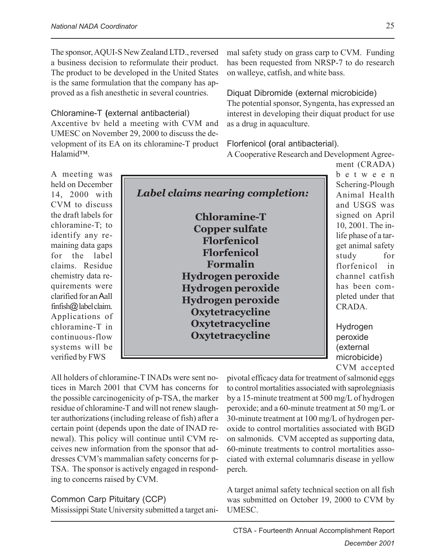The sponsor, AQUI-S New Zealand LTD., reversed a business decision to reformulate their product. The product to be developed in the United States is the same formulation that the company has approved as a fish anesthetic in several countries.

Chloramine-T **(**external antibacterial) Axcentive bv held a meeting with CVM and UMESC on November 29, 2000 to discuss the development of its EA on its chloramine-T product Halamid™.

mal safety study on grass carp to CVM. Funding has been requested from NRSP-7 to do research on walleye, catfish, and white bass.

Diquat Dibromide (external microbicide) The potential sponsor, Syngenta, has expressed an interest in developing their diquat product for use as a drug in aquaculture.

Florfenicol **(**oral antibacterial).

A Cooperative Research and Development Agree-

A meeting was held on December 14, 2000 with CVM to discuss the draft labels for chloramine-T; to identify any remaining data gaps for the label claims. Residue chemistry data requirements were clarified for an Aall finfish@ label claim. Applications of chloramine-T in continuous-flow systems will be verified by FWS

*Label claims nearing completion:* **Chloramine-T Copper sulfate Florfenicol Florfenicol Formalin Hydrogen peroxide Hydrogen peroxide Hydrogen peroxide Oxytetracycline Oxytetracycline Oxytetracycline**

ment (CRADA) between Schering-Plough Animal Health and USGS was signed on April 10, 2001. The inlife phase of a target animal safety study for florfenicol in channel catfish has been completed under that CRADA.

Hydrogen peroxide (external microbicide) CVM accepted

All holders of chloramine-T INADs were sent notices in March 2001 that CVM has concerns for the possible carcinogenicity of p-TSA, the marker residue of chloramine-T and will not renew slaughter authorizations (including release of fish) after a certain point (depends upon the date of INAD renewal). This policy will continue until CVM receives new information from the sponsor that addresses CVM's mammalian safety concerns for p-TSA. The sponsor is actively engaged in responding to concerns raised by CVM.

#### Common Carp Pituitary (CCP)

Mississippi State University submitted a target ani-

pivotal efficacy data for treatment of salmonid eggs to control mortalities associated with saprolegniasis by a 15-minute treatment at 500 mg/L of hydrogen peroxide; and a 60-minute treatment at 50 mg/L or 30-minute treatment at 100 mg/L of hydrogen peroxide to control mortalities associated with BGD on salmonids. CVM accepted as supporting data, 60-minute treatments to control mortalities associated with external columnaris disease in yellow perch.

A target animal safety technical section on all fish was submitted on October 19, 2000 to CVM by UMESC.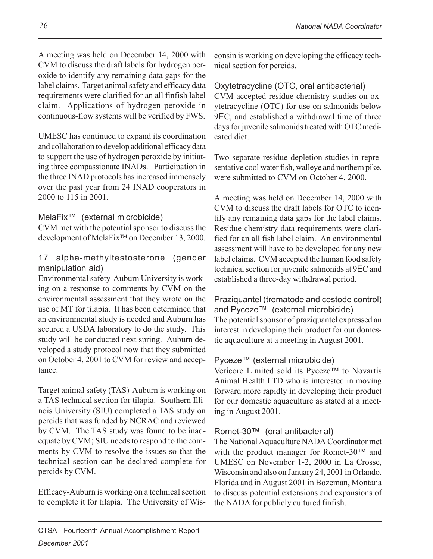A meeting was held on December 14, 2000 with CVM to discuss the draft labels for hydrogen peroxide to identify any remaining data gaps for the label claims. Target animal safety and efficacy data requirements were clarified for an all finfish label claim. Applications of hydrogen peroxide in continuous-flow systems will be verified by FWS.

UMESC has continued to expand its coordination and collaboration to develop additional efficacy data to support the use of hydrogen peroxide by initiating three compassionate INADs. Participation in the three INAD protocols has increased immensely over the past year from 24 INAD cooperators in 2000 to 115 in 2001.

#### MelaFix™ (external microbicide)

CVM met with the potential sponsor to discuss the development of MelaFix<sup>™</sup> on December 13, 2000.

#### 17 alpha-methyltestosterone (gender manipulation aid)

Environmental safety-Auburn University is working on a response to comments by CVM on the environmental assessment that they wrote on the use of MT for tilapia. It has been determined that an environmental study is needed and Auburn has secured a USDA laboratory to do the study. This study will be conducted next spring. Auburn developed a study protocol now that they submitted on October 4, 2001 to CVM for review and acceptance.

Target animal safety (TAS)-Auburn is working on a TAS technical section for tilapia. Southern Illinois University (SIU) completed a TAS study on percids that was funded by NCRAC and reviewed by CVM. The TAS study was found to be inadequate by CVM; SIU needs to respond to the comments by CVM to resolve the issues so that the technical section can be declared complete for percids by CVM.

Efficacy-Auburn is working on a technical section to complete it for tilapia. The University of Wisconsin is working on developing the efficacy technical section for percids.

Oxytetracycline (OTC, oral antibacterial) CVM accepted residue chemistry studies on oxytetracycline (OTC) for use on salmonids below 9EC, and established a withdrawal time of three days for juvenile salmonids treated with OTC medicated diet.

Two separate residue depletion studies in representative cool water fish, walleye and northern pike, were submitted to CVM on October 4, 2000.

A meeting was held on December 14, 2000 with CVM to discuss the draft labels for OTC to identify any remaining data gaps for the label claims. Residue chemistry data requirements were clarified for an all fish label claim. An environmental assessment will have to be developed for any new label claims. CVM accepted the human food safety technical section for juvenile salmonids at 9EC and established a three-day withdrawal period.

Praziquantel (trematode and cestode control) and Pyceze™ (external microbicide) The potential sponsor of praziquantel expressed an interest in developing their product for our domestic aquaculture at a meeting in August 2001.

#### Pyceze™ (external microbicide)

Vericore Limited sold its Pyceze™ to Novartis Animal Health LTD who is interested in moving forward more rapidly in developing their product for our domestic aquaculture as stated at a meeting in August 2001.

#### Romet-30™ (oral antibacterial)

The National Aquaculture NADA Coordinator met with the product manager for Romet-30™ and UMESC on November 1-2, 2000 in La Crosse, Wisconsin and also on January 24, 2001 in Orlando, Florida and in August 2001 in Bozeman, Montana to discuss potential extensions and expansions of the NADA for publicly cultured finfish.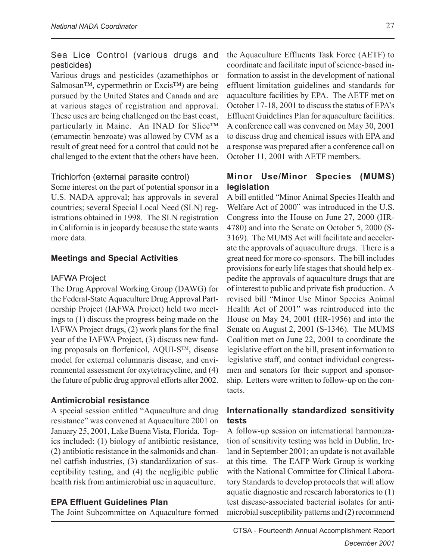#### Sea Lice Control (various drugs and pesticides**)**

Various drugs and pesticides (azamethiphos or Salmosan™, cypermethrin or Excis™) are being pursued by the United States and Canada and are at various stages of registration and approval. These uses are being challenged on the East coast, particularly in Maine. An INAD for Slice™ (emamectin benzoate) was allowed by CVM as a result of great need for a control that could not be challenged to the extent that the others have been.

#### Trichlorfon (external parasite control)

Some interest on the part of potential sponsor in a U.S. NADA approval; has approvals in several countries; several Special Local Need (SLN) registrations obtained in 1998. The SLN registration in California is in jeopardy because the state wants more data.

#### **Meetings and Special Activities**

#### IAFWA Project

The Drug Approval Working Group (DAWG) for the Federal-State Aquaculture Drug Approval Partnership Project (IAFWA Project) held two meetings to (1) discuss the progress being made on the IAFWA Project drugs, (2) work plans for the final year of the IAFWA Project, (3) discuss new funding proposals on florfenicol, AQUI-S<sup>TM</sup>, disease model for external columnaris disease, and environmental assessment for oxytetracycline, and (4) the future of public drug approval efforts after 2002.

#### **Antimicrobial resistance**

A special session entitled "Aquaculture and drug resistance" was convened at Aquaculture 2001 on January 25, 2001, Lake Buena Vista, Florida. Topics included: (1) biology of antibiotic resistance, (2) antibiotic resistance in the salmonids and channel catfish industries, (3) standardization of susceptibility testing, and (4) the negligible public health risk from antimicrobial use in aquaculture.

#### **EPA Effluent Guidelines Plan**

The Joint Subcommittee on Aquaculture formed

the Aquaculture Effluents Task Force (AETF) to coordinate and facilitate input of science-based information to assist in the development of national effluent limitation guidelines and standards for aquaculture facilities by EPA. The AETF met on October 17-18, 2001 to discuss the status of EPA's Effluent Guidelines Plan for aquaculture facilities. A conference call was convened on May 30, 2001 to discuss drug and chemical issues with EPA and a response was prepared after a conference call on October 11, 2001 with AETF members.

#### **Minor Use/Minor Species (MUMS) legislation**

A bill entitled "Minor Animal Species Health and Welfare Act of 2000" was introduced in the U.S. Congress into the House on June 27, 2000 (HR-4780) and into the Senate on October 5, 2000 (S-3169). The MUMS Act will facilitate and accelerate the approvals of aquaculture drugs. There is a great need for more co-sponsors. The bill includes provisions for early life stages that should help expedite the approvals of aquaculture drugs that are of interest to public and private fish production. A revised bill "Minor Use Minor Species Animal Health Act of 2001" was reintroduced into the House on May 24, 2001 (HR-1956) and into the Senate on August 2, 2001 (S-1346). The MUMS Coalition met on June 22, 2001 to coordinate the legislative effort on the bill, present information to legislative staff, and contact individual congressmen and senators for their support and sponsorship. Letters were written to follow-up on the contacts.

#### **Internationally standardized sensitivity tests**

A follow-up session on international harmonization of sensitivity testing was held in Dublin, Ireland in September 2001; an update is not available at this time. The EAFP Work Group is working with the National Committee for Clinical Laboratory Standards to develop protocols that will allow aquatic diagnostic and research laboratories to (1) test disease-associated bacterial isolates for antimicrobial susceptibility patterns and (2) recommend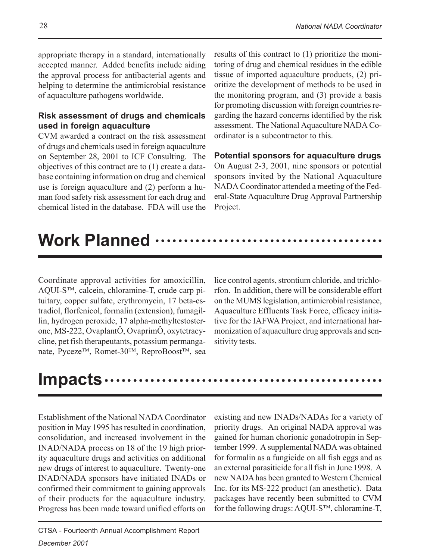appropriate therapy in a standard, internationally accepted manner. Added benefits include aiding the approval process for antibacterial agents and helping to determine the antimicrobial resistance of aquaculture pathogens worldwide.

#### **Risk assessment of drugs and chemicals used in foreign aquaculture**

CVM awarded a contract on the risk assessment of drugs and chemicals used in foreign aquaculture on September 28, 2001 to ICF Consulting. The objectives of this contract are to (1) create a database containing information on drug and chemical use is foreign aquaculture and (2) perform a human food safety risk assessment for each drug and chemical listed in the database. FDA will use the results of this contract to (1) prioritize the monitoring of drug and chemical residues in the edible tissue of imported aquaculture products, (2) prioritize the development of methods to be used in the monitoring program, and (3) provide a basis for promoting discussion with foreign countries regarding the hazard concerns identified by the risk assessment. The National Aquaculture NADA Coordinator is a subcontractor to this.

#### **Potential sponsors for aquaculture drugs** On August 2-3, 2001, nine sponsors or potential sponsors invited by the National Aquaculture NADA Coordinator attended a meeting of the Federal-State Aquaculture Drug Approval Partnership

## **Work Planned ……**

Project.

Coordinate approval activities for amoxicillin, AQUI-S<sup>TM</sup>, calcein, chloramine-T, crude carp pituitary, copper sulfate, erythromycin, 17 beta-estradiol, florfenicol, formalin (extension), fumagillin, hydrogen peroxide, 17 alpha-methyltestosterone, MS-222, OvaplantÔ, OvaprimÔ, oxytetracycline, pet fish therapeutants, potassium permanganate, Pyceze<sup>™</sup>, Romet-30™, ReproBoost<sup>™</sup>, sea lice control agents, strontium chloride, and trichlorfon. In addition, there will be considerable effort on the MUMS legislation, antimicrobial resistance, Aquaculture Effluents Task Force, efficacy initiative for the IAFWA Project, and international harmonization of aquaculture drug approvals and sensitivity tests.

## **Impacts** ……………………………………

Establishment of the National NADA Coordinator position in May 1995 has resulted in coordination, consolidation, and increased involvement in the INAD/NADA process on 18 of the 19 high priority aquaculture drugs and activities on additional new drugs of interest to aquaculture. Twenty-one INAD/NADA sponsors have initiated INADs or confirmed their commitment to gaining approvals of their products for the aquaculture industry. Progress has been made toward unified efforts on existing and new INADs/NADAs for a variety of priority drugs. An original NADA approval was gained for human chorionic gonadotropin in September 1999. A supplemental NADA was obtained for formalin as a fungicide on all fish eggs and as an external parasiticide for all fish in June 1998. A new NADA has been granted to Western Chemical Inc. for its MS-222 product (an anesthetic). Data packages have recently been submitted to CVM for the following drugs: AQUI-S $^{TM}$ , chloramine-T,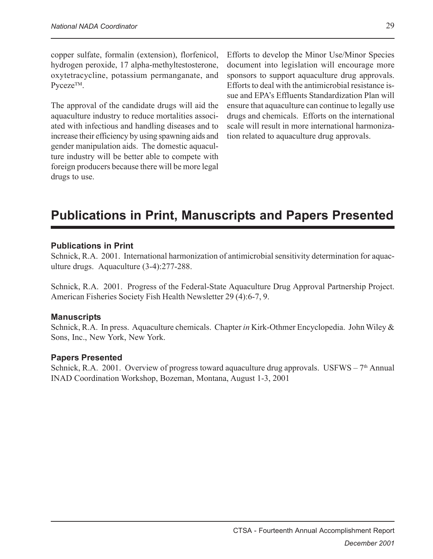copper sulfate, formalin (extension), florfenicol, hydrogen peroxide, 17 alpha-methyltestosterone, oxytetracycline, potassium permanganate, and Pyceze<sup>TM</sup>.

The approval of the candidate drugs will aid the aquaculture industry to reduce mortalities associated with infectious and handling diseases and to increase their efficiency by using spawning aids and gender manipulation aids. The domestic aquaculture industry will be better able to compete with foreign producers because there will be more legal drugs to use.

Efforts to develop the Minor Use/Minor Species document into legislation will encourage more sponsors to support aquaculture drug approvals. Efforts to deal with the antimicrobial resistance issue and EPA's Effluents Standardization Plan will ensure that aquaculture can continue to legally use drugs and chemicals. Efforts on the international scale will result in more international harmonization related to aquaculture drug approvals.

### **Publications in Print, Manuscripts and Papers Presented**

#### **Publications in Print**

Schnick, R.A. 2001. International harmonization of antimicrobial sensitivity determination for aquaculture drugs. Aquaculture (3-4):277-288.

Schnick, R.A. 2001. Progress of the Federal-State Aquaculture Drug Approval Partnership Project. American Fisheries Society Fish Health Newsletter 29 (4):6-7, 9.

#### **Manuscripts**

Schnick, R.A. In press. Aquaculture chemicals. Chapter *in* Kirk-Othmer Encyclopedia. John Wiley & Sons, Inc., New York, New York.

#### **Papers Presented**

Schnick, R.A. 2001. Overview of progress toward aquaculture drug approvals. USFWS –  $7<sup>th</sup>$  Annual INAD Coordination Workshop, Bozeman, Montana, August 1-3, 2001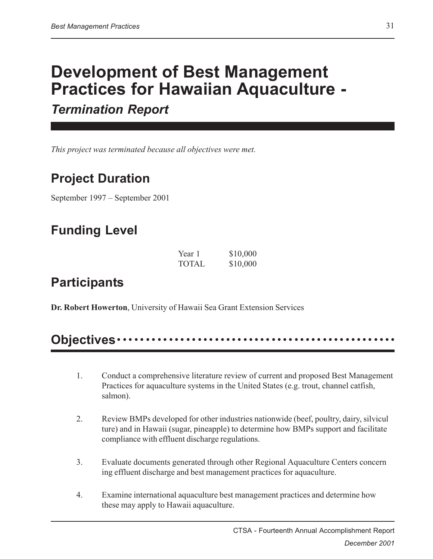## **Development of Best Management Practices for Hawaiian Aquaculture -**

*Termination Report*

*This project was terminated because all objectives were met.*

### **Project Duration**

September 1997 – September 2001

### **Funding Level**

| Year 1       | \$10,000 |
|--------------|----------|
| <b>TOTAL</b> | \$10,000 |

### **Participants**

**Dr. Robert Howerton**, University of Hawaii Sea Grant Extension Services

### **Objectives** ○○○○○○○○○○○○○○ ○○○○○○○○○○○○○○○○○○○○○○○○○○○○○○○○○○○

- 1. Conduct a comprehensive literature review of current and proposed Best Management Practices for aquaculture systems in the United States (e.g. trout, channel catfish, salmon).
- 2. Review BMPs developed for other industries nationwide (beef, poultry, dairy, silvicul ture) and in Hawaii (sugar, pineapple) to determine how BMPs support and facilitate compliance with effluent discharge regulations.
- 3. Evaluate documents generated through other Regional Aquaculture Centers concern ing effluent discharge and best management practices for aquaculture.
- 4. Examine international aquaculture best management practices and determine how these may apply to Hawaii aquaculture.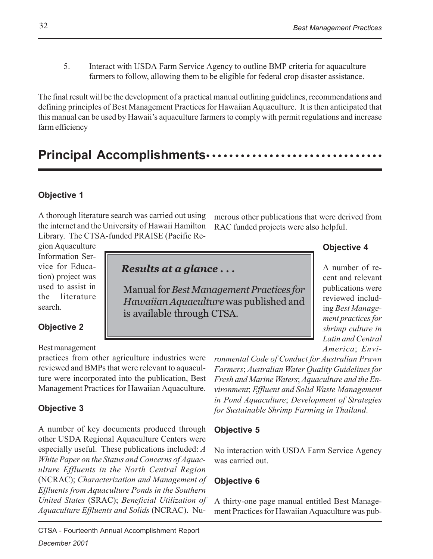5. Interact with USDA Farm Service Agency to outline BMP criteria for aquaculture farmers to follow, allowing them to be eligible for federal crop disaster assistance.

The final result will be the development of a practical manual outlining guidelines, recommendations and defining principles of Best Management Practices for Hawaiian Aquaculture. It is then anticipated that this manual can be used by Hawaii's aquaculture farmers to comply with permit regulations and increase farm efficiency

### Principal Accomplishments ··························

#### **Objective 1**

A thorough literature search was carried out using the internet and the University of Hawaii Hamilton Library. The CTSA-funded PRAISE (Pacific Re-

merous other publications that were derived from RAC funded projects were also helpful.

#### **Objective 4**

A number of recent and relevant publications were reviewed including *Best Management practices for shrimp culture in Latin and Central America*; *Envi-*

gion Aquaculture Information Service for Education) project was used to assist in the literature search.

*Results at a glance . . .*

Manual for *Best Management Practices for Hawaiian Aquaculture* was published and is available through CTSA.

**Objective 2**

Best management

practices from other agriculture industries were reviewed and BMPs that were relevant to aquaculture were incorporated into the publication, Best Management Practices for Hawaiian Aquaculture.

#### **Objective 3**

A number of key documents produced through other USDA Regional Aquaculture Centers were especially useful. These publications included: *A White Paper on the Status and Concerns of Aquaculture Effluents in the North Central Region* (NCRAC); *Characterization and Management of Effluents from Aquaculture Ponds in the Southern United States* (SRAC); *Beneficial Utilization of Aquaculture Effluents and Solids* (NCRAC). Nu-

CTSA - Fourteenth Annual Accomplishment Report *December 2001*

*ronmental Code of Conduct for Australian Prawn Farmers*; *Australian Water Quality Guidelines for Fresh and Marine Waters*; *Aquaculture and the Environment*; *Effluent and Solid Waste Management in Pond Aquaculture*; *Development of Strategies for Sustainable Shrimp Farming in Thailand*.

#### **Objective 5**

No interaction with USDA Farm Service Agency was carried out.

#### **Objective 6**

A thirty-one page manual entitled Best Management Practices for Hawaiian Aquaculture was pub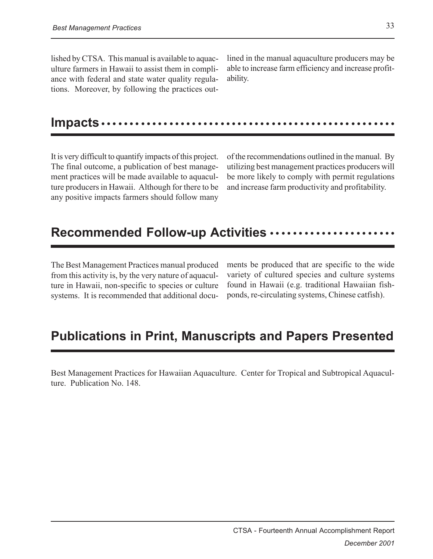lished by CTSA. This manual is available to aquaculture farmers in Hawaii to assist them in compliance with federal and state water quality regulations. Moreover, by following the practices outlined in the manual aquaculture producers may be able to increase farm efficiency and increase profitability.

#### **Impacts** ○○○○○○○○○○○○○○○○○○○○○○○○○○○○○○○○○○○○○○○○○○○○○○○○○○○○

It is very difficult to quantify impacts of this project. The final outcome, a publication of best management practices will be made available to aquaculture producers in Hawaii. Although for there to be any positive impacts farmers should follow many

of the recommendations outlined in the manual. By utilizing best management practices producers will be more likely to comply with permit regulations and increase farm productivity and profitability.

### Recommended Follow-up Activities ······················

The Best Management Practices manual produced from this activity is, by the very nature of aquaculture in Hawaii, non-specific to species or culture systems. It is recommended that additional documents be produced that are specific to the wide variety of cultured species and culture systems found in Hawaii (e.g. traditional Hawaiian fishponds, re-circulating systems, Chinese catfish).

### **Publications in Print, Manuscripts and Papers Presented**

Best Management Practices for Hawaiian Aquaculture. Center for Tropical and Subtropical Aquaculture. Publication No. 148.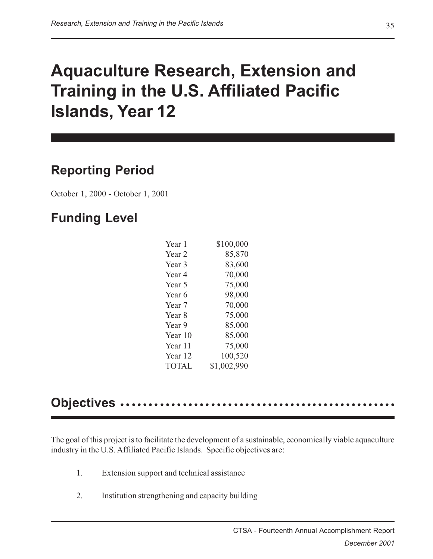## **Aquaculture Research, Extension and Training in the U.S. Affiliated Pacific Islands, Year 12**

### **Reporting Period**

October 1, 2000 - October 1, 2001

### **Funding Level**

| Year 1       | \$100,000   |
|--------------|-------------|
| Year 2       | 85,870      |
| Year 3       | 83,600      |
| Year 4       | 70,000      |
| Year 5       | 75,000      |
| Year 6       | 98,000      |
| Year 7       | 70,000      |
| Year 8       | 75,000      |
| Year 9       | 85,000      |
| Year 10      | 85,000      |
| Year 11      | 75,000      |
| Year 12      | 100,520     |
| <b>TOTAL</b> | \$1,002,990 |

### **Objectives** ••••

The goal of this project is to facilitate the development of a sustainable, economically viable aquaculture industry in the U.S. Affiliated Pacific Islands. Specific objectives are:

- 1. Extension support and technical assistance
- 2. Institution strengthening and capacity building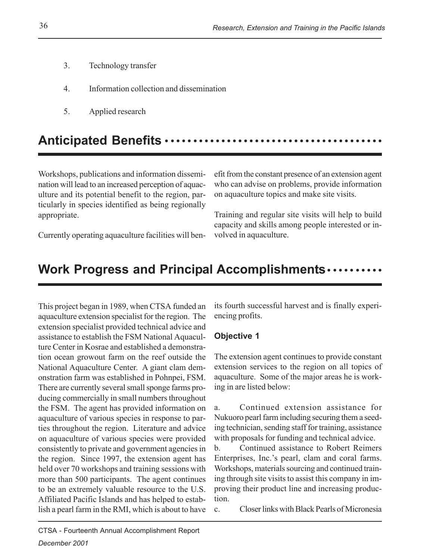- 3. Technology transfer
- 4. Information collection and dissemination
- 5. Applied research

### **Anticipated Benefits** ○○○○○○○○○ ○○○○○○○○○○○○○○○○○○○○○○○○○○○○○○

Workshops, publications and information dissemination will lead to an increased perception of aquaculture and its potential benefit to the region, particularly in species identified as being regionally appropriate.

efit from the constant presence of an extension agent who can advise on problems, provide information on aquaculture topics and make site visits.

Training and regular site visits will help to build capacity and skills among people interested or involved in aquaculture.

Currently operating aquaculture facilities will ben-

### **Work Progress and Principal Accomplishments •••••••••••**

This project began in 1989, when CTSA funded an aquaculture extension specialist for the region. The extension specialist provided technical advice and assistance to establish the FSM National Aquaculture Center in Kosrae and established a demonstration ocean growout farm on the reef outside the National Aquaculture Center. A giant clam demonstration farm was established in Pohnpei, FSM. There are currently several small sponge farms producing commercially in small numbers throughout the FSM. The agent has provided information on aquaculture of various species in response to parties throughout the region. Literature and advice on aquaculture of various species were provided consistently to private and government agencies in the region. Since 1997, the extension agent has held over 70 workshops and training sessions with more than 500 participants. The agent continues to be an extremely valuable resource to the U.S. Affiliated Pacific Islands and has helped to establish a pearl farm in the RMI, which is about to have

its fourth successful harvest and is finally experiencing profits.

#### **Objective 1**

The extension agent continues to provide constant extension services to the region on all topics of aquaculture. Some of the major areas he is working in are listed below:

a. Continued extension assistance for Nukuoro pearl farm including securing them a seeding technician, sending staff for training, assistance with proposals for funding and technical advice.

b. Continued assistance to Robert Reimers Enterprises, Inc.'s pearl, clam and coral farms. Workshops, materials sourcing and continued training through site visits to assist this company in improving their product line and increasing production.

c. Closer links with Black Pearls of Micronesia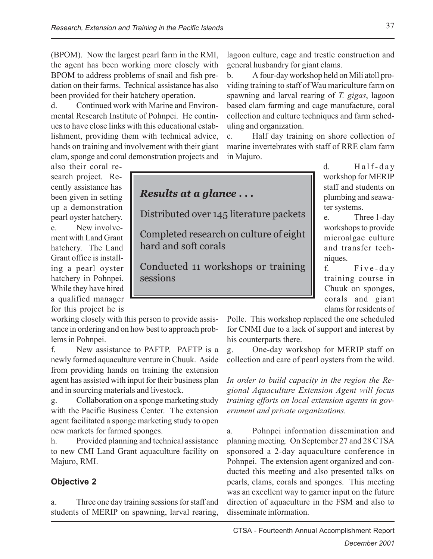(BPOM). Now the largest pearl farm in the RMI, the agent has been working more closely with BPOM to address problems of snail and fish predation on their farms. Technical assistance has also been provided for their hatchery operation.

d. Continued work with Marine and Environmental Research Institute of Pohnpei. He continues to have close links with this educational establishment, providing them with technical advice, hands on training and involvement with their giant clam, sponge and coral demonstration projects and

also their coral research project. Recently assistance has been given in setting up a demonstration pearl oyster hatchery. e. New involvement with Land Grant hatchery. The Land Grant office is installing a pearl oyster hatchery in Pohnpei. While they have hired a qualified manager for this project he is

working closely with this person to provide assistance in ordering and on how best to approach problems in Pohnpei.

f. New assistance to PAFTP. PAFTP is a newly formed aquaculture venture in Chuuk. Aside from providing hands on training the extension agent has assisted with input for their business plan and in sourcing materials and livestock.

g. Collaboration on a sponge marketing study with the Pacific Business Center. The extension agent facilitated a sponge marketing study to open new markets for farmed sponges.

h. Provided planning and technical assistance to new CMI Land Grant aquaculture facility on Majuro, RMI.

#### **Objective 2**

a. Three one day training sessions for staff and students of MERIP on spawning, larval rearing, lagoon culture, cage and trestle construction and general husbandry for giant clams.

b. A four-day workshop held on Mili atoll providing training to staff of Wau mariculture farm on spawning and larval rearing of *T. gigas*, lagoon based clam farming and cage manufacture, coral collection and culture techniques and farm scheduling and organization.

c. Half day training on shore collection of marine invertebrates with staff of RRE clam farm in Majuro.



d.  $\qquad \qquad$  Half-day workshop for MERIP staff and students on plumbing and seawater systems.

e. Three 1-day workshops to provide microalgae culture and transfer techniques.

f. Five-day training course in Chuuk on sponges, corals and giant clams for residents of

Polle. This workshop replaced the one scheduled for CNMI due to a lack of support and interest by his counterparts there.

g. One-day workshop for MERIP staff on collection and care of pearl oysters from the wild.

*In order to build capacity in the region the Regional Aquaculture Extension Agent will focus training efforts on local extension agents in government and private organizations.*

a. Pohnpei information dissemination and planning meeting. On September 27 and 28 CTSA sponsored a 2-day aquaculture conference in Pohnpei. The extension agent organized and conducted this meeting and also presented talks on pearls, clams, corals and sponges. This meeting was an excellent way to garner input on the future direction of aquaculture in the FSM and also to disseminate information.

CTSA - Fourteenth Annual Accomplishment Report *December 2001*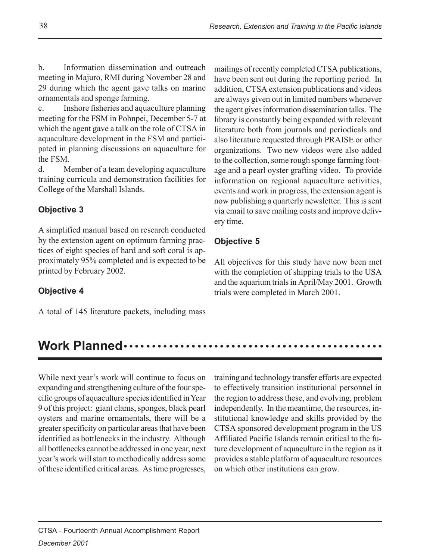b. Information dissemination and outreach meeting in Majuro, RMI during November 28 and 29 during which the agent gave talks on marine ornamentals and sponge farming.

c. Inshore fisheries and aquaculture planning meeting for the FSM in Pohnpei, December 5-7 at which the agent gave a talk on the role of CTSA in aquaculture development in the FSM and participated in planning discussions on aquaculture for the FSM.

d. Member of a team developing aquaculture training curricula and demonstration facilities for College of the Marshall Islands.

#### **Objective 3**

A simplified manual based on research conducted by the extension agent on optimum farming practices of eight species of hard and soft coral is approximately 95% completed and is expected to be printed by February 2002.

#### **Objective 4**

A total of 145 literature packets, including mass

mailings of recently completed CTSA publications, have been sent out during the reporting period. In addition, CTSA extension publications and videos are always given out in limited numbers whenever the agent gives information dissemination talks. The library is constantly being expanded with relevant literature both from journals and periodicals and also literature requested through PRAISE or other organizations. Two new videos were also added to the collection, some rough sponge farming footage and a pearl oyster grafting video. To provide information on regional aquaculture activities, events and work in progress, the extension agent is now publishing a quarterly newsletter. This is sent via email to save mailing costs and improve delivery time.

#### **Objective 5**

All objectives for this study have now been met with the completion of shipping trials to the USA and the aquarium trials in April/May 2001. Growth trials were completed in March 2001.

### **Work Planned ••••**

While next year's work will continue to focus on expanding and strengthening culture of the four specific groups of aquaculture species identified in Year 9 of this project: giant clams, sponges, black pearl oysters and marine ornamentals, there will be a greater specificity on particular areas that have been identified as bottlenecks in the industry. Although all bottlenecks cannot be addressed in one year, next year's work will start to methodically address some of these identified critical areas. As time progresses, training and technology transfer efforts are expected to effectively transition institutional personnel in the region to address these, and evolving, problem independently. In the meantime, the resources, institutional knowledge and skills provided by the CTSA sponsored development program in the US Affiliated Pacific Islands remain critical to the future development of aquaculture in the region as it provides a stable platform of aquaculture resources on which other institutions can grow.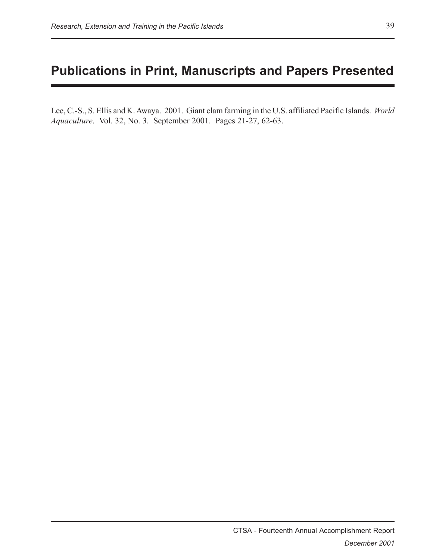### **Publications in Print, Manuscripts and Papers Presented**

Lee, C.-S., S. Ellis and K. Awaya. 2001. Giant clam farming in the U.S. affiliated Pacific Islands. *World Aquaculture*. Vol. 32, No. 3. September 2001. Pages 21-27, 62-63.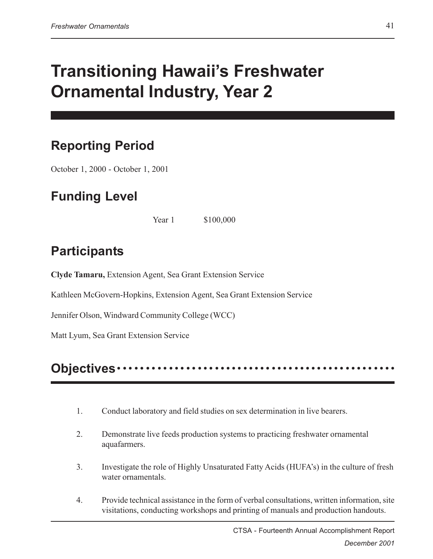# **Transitioning Hawaii's Freshwater Ornamental Industry, Year 2**

## **Reporting Period**

October 1, 2000 - October 1, 2001

## **Funding Level**

Year 1 \$100,000

## **Participants**

**Clyde Tamaru,** Extension Agent, Sea Grant Extension Service

Kathleen McGovern-Hopkins, Extension Agent, Sea Grant Extension Service

Jennifer Olson, Windward Community College (WCC)

Matt Lyum, Sea Grant Extension Service

## **Objectives** ○○○○○○○○○○○○○○ ○○○○○○○○○○○○○○○○○○○○○○○○○○○○○○○○○○○

- 1. Conduct laboratory and field studies on sex determination in live bearers.
- 2. Demonstrate live feeds production systems to practicing freshwater ornamental aquafarmers.
- 3. Investigate the role of Highly Unsaturated Fatty Acids (HUFA's) in the culture of fresh water ornamentals.
- 4. Provide technical assistance in the form of verbal consultations, written information, site visitations, conducting workshops and printing of manuals and production handouts.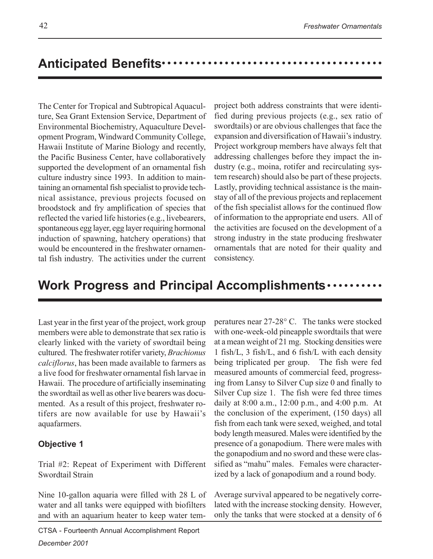### Anticipated Benefits ························

The Center for Tropical and Subtropical Aquaculture, Sea Grant Extension Service, Department of Environmental Biochemistry, Aquaculture Development Program, Windward Community College, Hawaii Institute of Marine Biology and recently, the Pacific Business Center, have collaboratively supported the development of an ornamental fish culture industry since 1993. In addition to maintaining an ornamental fish specialist to provide technical assistance, previous projects focused on broodstock and fry amplification of species that reflected the varied life histories (e.g., livebearers, spontaneous egg layer, egg layer requiring hormonal induction of spawning, hatchery operations) that would be encountered in the freshwater ornamental fish industry. The activities under the current

project both address constraints that were identified during previous projects (e.g., sex ratio of swordtails) or are obvious challenges that face the expansion and diversification of Hawaii's industry. Project workgroup members have always felt that addressing challenges before they impact the industry (e.g., moina, rotifer and recirculating system research) should also be part of these projects. Lastly, providing technical assistance is the mainstay of all of the previous projects and replacement of the fish specialist allows for the continued flow of information to the appropriate end users. All of the activities are focused on the development of a strong industry in the state producing freshwater ornamentals that are noted for their quality and consistency.

### **Work Progress and Principal Accomplishments •••••••••••**

Last year in the first year of the project, work group members were able to demonstrate that sex ratio is clearly linked with the variety of swordtail being cultured. The freshwater rotifer variety, *Brachionus calciflorus*, has been made available to farmers as a live food for freshwater ornamental fish larvae in Hawaii. The procedure of artificially inseminating the swordtail as well as other live bearers was documented. As a result of this project, freshwater rotifers are now available for use by Hawaii's aquafarmers.

#### **Objective 1**

Trial #2: Repeat of Experiment with Different Swordtail Strain

Nine 10-gallon aquaria were filled with 28 L of water and all tanks were equipped with biofilters and with an aquarium heater to keep water tem-

CTSA - Fourteenth Annual Accomplishment Report

*December 2001*

peratures near 27-28° C. The tanks were stocked with one-week-old pineapple swordtails that were at a mean weight of 21 mg. Stocking densities were 1 fish/L, 3 fish/L, and 6 fish/L with each density being triplicated per group. The fish were fed measured amounts of commercial feed, progressing from Lansy to Silver Cup size 0 and finally to Silver Cup size 1. The fish were fed three times daily at 8:00 a.m., 12:00 p.m., and 4:00 p.m. At the conclusion of the experiment, (150 days) all fish from each tank were sexed, weighed, and total body length measured. Males were identified by the presence of a gonapodium. There were males with the gonapodium and no sword and these were classified as "mahu" males. Females were characterized by a lack of gonapodium and a round body.

Average survival appeared to be negatively correlated with the increase stocking density. However, only the tanks that were stocked at a density of 6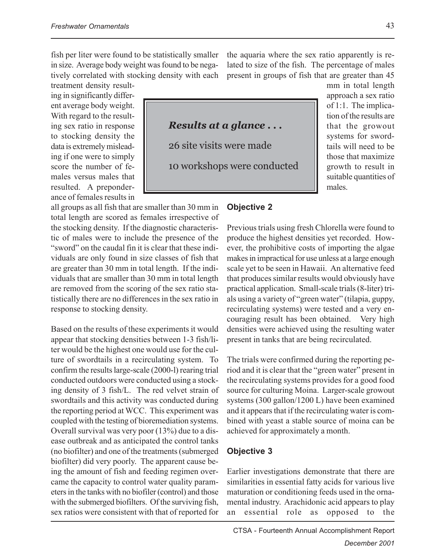fish per liter were found to be statistically smaller in size. Average body weight was found to be negatively correlated with stocking density with each treatment density result-

ing in significantly different average body weight. With regard to the resulting sex ratio in response to stocking density the data is extremely misleading if one were to simply score the number of females versus males that resulted. A preponderance of females results in

all groups as all fish that are smaller than 30 mm in total length are scored as females irrespective of the stocking density. If the diagnostic characteristic of males were to include the presence of the "sword" on the caudal fin it is clear that these individuals are only found in size classes of fish that are greater than 30 mm in total length. If the individuals that are smaller than 30 mm in total length are removed from the scoring of the sex ratio statistically there are no differences in the sex ratio in response to stocking density.

Based on the results of these experiments it would appear that stocking densities between 1-3 fish/liter would be the highest one would use for the culture of swordtails in a recirculating system. To confirm the results large-scale (2000-l) rearing trial conducted outdoors were conducted using a stocking density of 3 fish/L. The red velvet strain of swordtails and this activity was conducted during the reporting period at WCC. This experiment was coupled with the testing of bioremediation systems. Overall survival was very poor (13%) due to a disease outbreak and as anticipated the control tanks (no biofilter) and one of the treatments (submerged biofilter) did very poorly. The apparent cause being the amount of fish and feeding regimen overcame the capacity to control water quality parameters in the tanks with no biofiler (control) and those with the submerged biofilters. Of the surviving fish, sex ratios were consistent with that of reported for the aquaria where the sex ratio apparently is related to size of the fish. The percentage of males present in groups of fish that are greater than 45



mm in total length approach a sex ratio of 1:1. The implication of the results are that the growout systems for swordtails will need to be those that maximize growth to result in suitable quantities of males.

#### **Objective 2**

Previous trials using fresh Chlorella were found to produce the highest densities yet recorded. However, the prohibitive costs of importing the algae makes in impractical for use unless at a large enough scale yet to be seen in Hawaii. An alternative feed that produces similar results would obviously have practical application. Small-scale trials (8-liter) trials using a variety of "green water" (tilapia, guppy, recirculating systems) were tested and a very encouraging result has been obtained. Very high densities were achieved using the resulting water present in tanks that are being recirculated.

The trials were confirmed during the reporting period and it is clear that the "green water" present in the recirculating systems provides for a good food source for culturing Moina. Larger-scale growout systems (300 gallon/1200 L) have been examined and it appears that if the recirculating water is combined with yeast a stable source of moina can be achieved for approximately a month.

#### **Objective 3**

Earlier investigations demonstrate that there are similarities in essential fatty acids for various live maturation or conditioning feeds used in the ornamental industry. Arachidonic acid appears to play an essential role as opposed to the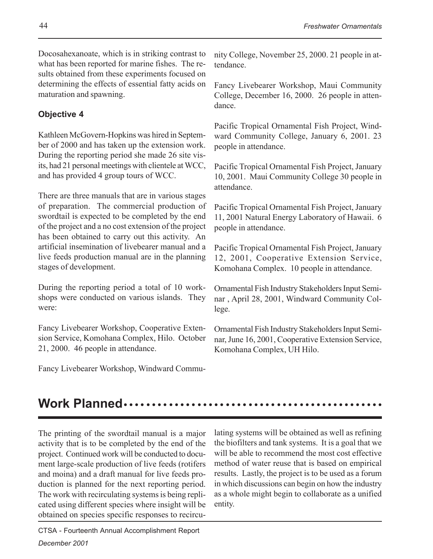Docosahexanoate, which is in striking contrast to what has been reported for marine fishes. The results obtained from these experiments focused on determining the effects of essential fatty acids on maturation and spawning.

#### **Objective 4**

Kathleen McGovern-Hopkins was hired in September of 2000 and has taken up the extension work. During the reporting period she made 26 site visits, had 21 personal meetings with clientele at WCC, and has provided 4 group tours of WCC.

There are three manuals that are in various stages of preparation. The commercial production of swordtail is expected to be completed by the end of the project and a no cost extension of the project has been obtained to carry out this activity. An artificial insemination of livebearer manual and a live feeds production manual are in the planning stages of development.

During the reporting period a total of 10 workshops were conducted on various islands. They were:

Fancy Livebearer Workshop, Cooperative Extension Service, Komohana Complex, Hilo. October 21, 2000. 46 people in attendance.

Fancy Livebearer Workshop, Windward Commu-

nity College, November 25, 2000. 21 people in attendance.

Fancy Livebearer Workshop, Maui Community College, December 16, 2000. 26 people in attendance.

Pacific Tropical Ornamental Fish Project, Windward Community College, January 6, 2001. 23 people in attendance.

Pacific Tropical Ornamental Fish Project, January 10, 2001. Maui Community College 30 people in attendance.

Pacific Tropical Ornamental Fish Project, January 11, 2001 Natural Energy Laboratory of Hawaii. 6 people in attendance.

Pacific Tropical Ornamental Fish Project, January 12, 2001, Cooperative Extension Service, Komohana Complex. 10 people in attendance.

Ornamental Fish Industry Stakeholders Input Seminar , April 28, 2001, Windward Community College.

Ornamental Fish Industry Stakeholders Input Seminar, June 16, 2001, Cooperative Extension Service, Komohana Complex, UH Hilo.

#### **Work Planned** ○○○○○○○○○○○○○○○○○○○○○○○○○○○○○○○○○○ ○○○○○○○○○○○○

The printing of the swordtail manual is a major activity that is to be completed by the end of the project. Continued work will be conducted to document large-scale production of live feeds (rotifers and moina) and a draft manual for live feeds production is planned for the next reporting period. The work with recirculating systems is being replicated using different species where insight will be obtained on species specific responses to recirculating systems will be obtained as well as refining the biofilters and tank systems. It is a goal that we will be able to recommend the most cost effective method of water reuse that is based on empirical results. Lastly, the project is to be used as a forum in which discussions can begin on how the industry as a whole might begin to collaborate as a unified entity.

CTSA - Fourteenth Annual Accomplishment Report *December 2001*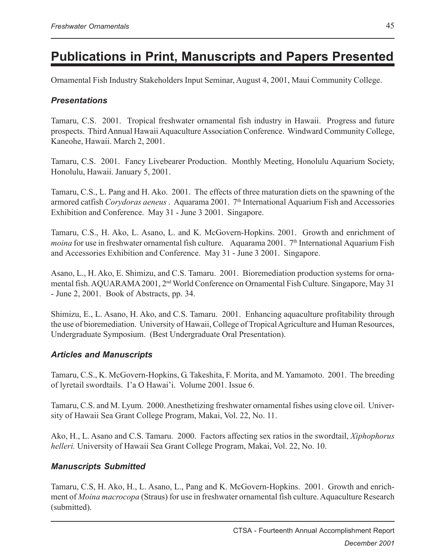## **Publications in Print, Manuscripts and Papers Presented**

Ornamental Fish Industry Stakeholders Input Seminar, August 4, 2001, Maui Community College.

#### *Presentations*

Tamaru, C.S. 2001. Tropical freshwater ornamental fish industry in Hawaii. Progress and future prospects. Third Annual Hawaii Aquaculture Association Conference. Windward Community College, Kaneohe, Hawaii. March 2, 2001.

Tamaru, C.S. 2001. Fancy Livebearer Production. Monthly Meeting, Honolulu Aquarium Society, Honolulu, Hawaii. January 5, 2001.

Tamaru, C.S., L. Pang and H. Ako. 2001. The effects of three maturation diets on the spawning of the armored catfish Corydoras aeneus. Aquarama 2001. <sup>7th</sup> International Aquarium Fish and Accessories Exhibition and Conference. May 31 - June 3 2001. Singapore.

Tamaru, C.S., H. Ako, L. Asano, L. and K. McGovern-Hopkins. 2001. Growth and enrichment of *moina* for use in freshwater ornamental fish culture. Aquarama 2001. <sup>7th</sup> International Aquarium Fish and Accessories Exhibition and Conference. May 31 - June 3 2001. Singapore.

Asano, L., H. Ako, E. Shimizu, and C.S. Tamaru. 2001. Bioremediation production systems for ornamental fish. AQUARAMA 2001, 2nd World Conference on Ornamental Fish Culture. Singapore, May 31 - June 2, 2001. Book of Abstracts, pp. 34.

Shimizu, E., L. Asano, H. Ako, and C.S. Tamaru. 2001. Enhancing aquaculture profitability through the use of bioremediation. University of Hawaii, College of Tropical Agriculture and Human Resources, Undergraduate Symposium. (Best Undergraduate Oral Presentation).

#### *Articles and Manuscripts*

Tamaru, C.S., K. McGovern-Hopkins, G. Takeshita, F. Morita, and M. Yamamoto. 2001. The breeding of lyretail swordtails. I'a O Hawai'i. Volume 2001. Issue 6.

Tamaru, C.S. and M. Lyum. 2000. Anesthetizing freshwater ornamental fishes using clove oil. University of Hawaii Sea Grant College Program, Makai, Vol. 22, No. 11.

Ako, H., L. Asano and C.S. Tamaru. 2000. Factors affecting sex ratios in the swordtail, *Xiphophorus helleri.* University of Hawaii Sea Grant College Program, Makai, Vol. 22, No. 10.

#### *Manuscripts Submitted*

Tamaru, C.S, H. Ako, H., L. Asano, L., Pang and K. McGovern-Hopkins. 2001. Growth and enrichment of *Moina macrocopa* (Straus) for use in freshwater ornamental fish culture. Aquaculture Research (submitted).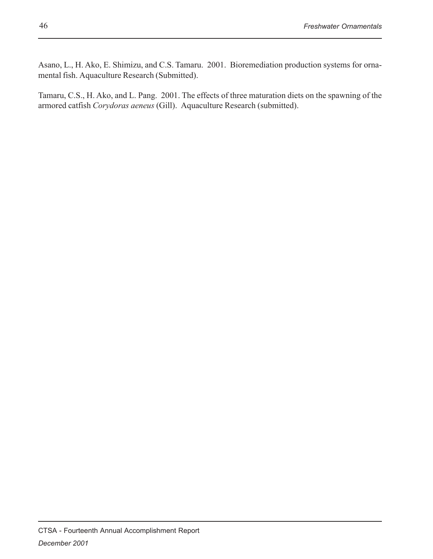Asano, L., H. Ako, E. Shimizu, and C.S. Tamaru. 2001. Bioremediation production systems for ornamental fish. Aquaculture Research (Submitted).

Tamaru, C.S., H. Ako, and L. Pang. 2001. The effects of three maturation diets on the spawning of the armored catfish *Corydoras aeneus* (Gill). Aquaculture Research (submitted).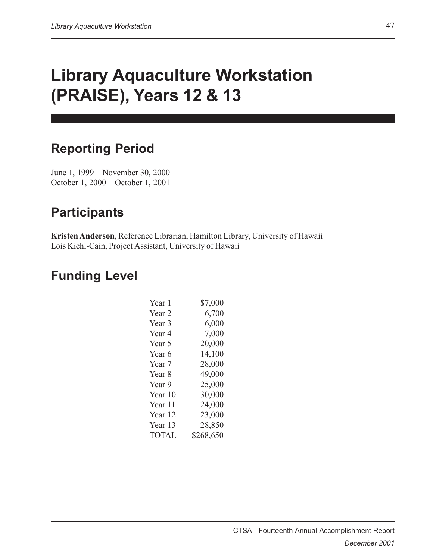# **Library Aquaculture Workstation (PRAISE), Years 12 & 13**

### **Reporting Period**

June 1, 1999 – November 30, 2000 October 1, 2000 – October 1, 2001

## **Participants**

**Kristen Anderson**, Reference Librarian, Hamilton Library, University of Hawaii Lois Kiehl-Cain, Project Assistant, University of Hawaii

## **Funding Level**

| Year 1            | \$7,000   |
|-------------------|-----------|
| Year 2            | 6,700     |
| Year 3            | 6,000     |
| Year 4            | 7,000     |
| Year 5            | 20,000    |
| Year 6            | 14,100    |
| Year 7            | 28,000    |
| Year <sub>8</sub> | 49,000    |
| Year 9            | 25,000    |
| Year 10           | 30,000    |
| Year 11           | 24,000    |
| Year 12           | 23,000    |
| Year 13           | 28,850    |
| <b>TOTAL</b>      | \$268,650 |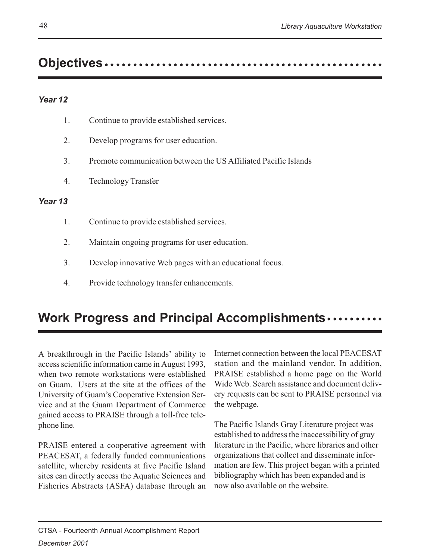## **Objectives.......................**

#### *Year 12*

| 1. | Continue to provide established services. |  |
|----|-------------------------------------------|--|
|    |                                           |  |

- 2. Develop programs for user education.
- 3. Promote communication between the US Affiliated Pacific Islands
- 4. Technology Transfer

#### *Year 13*

- 1. Continue to provide established services.
- 2. Maintain ongoing programs for user education.
- 3. Develop innovative Web pages with an educational focus.
- 4. Provide technology transfer enhancements.

### **Work Progress and Principal Accomplishments •••••••••••**

A breakthrough in the Pacific Islands' ability to access scientific information came in August 1993, when two remote workstations were established on Guam. Users at the site at the offices of the University of Guam's Cooperative Extension Service and at the Guam Department of Commerce gained access to PRAISE through a toll-free telephone line.

PRAISE entered a cooperative agreement with PEACESAT, a federally funded communications satellite, whereby residents at five Pacific Island sites can directly access the Aquatic Sciences and Fisheries Abstracts (ASFA) database through an

Internet connection between the local PEACESAT station and the mainland vendor. In addition, PRAISE established a home page on the World Wide Web. Search assistance and document delivery requests can be sent to PRAISE personnel via the webpage.

The Pacific Islands Gray Literature project was established to address the inaccessibility of gray literature in the Pacific, where libraries and other organizations that collect and disseminate information are few. This project began with a printed bibliography which has been expanded and is now also available on the website.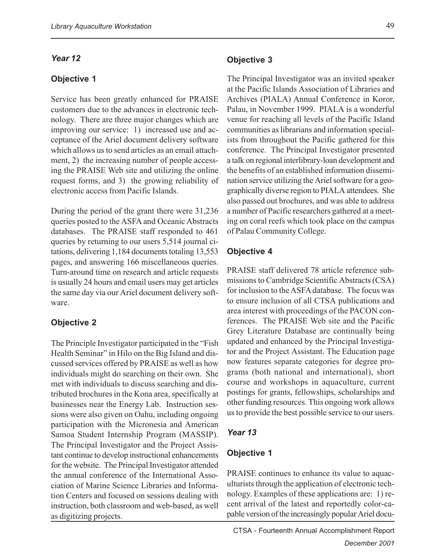#### *Year 12*

#### **Objective 1**

Service has been greatly enhanced for PRAISE customers due to the advances in electronic technology. There are three major changes which are improving our service: 1) increased use and acceptance of the Ariel document delivery software which allows us to send articles as an email attachment, 2) the increasing number of people accessing the PRAISE Web site and utilizing the online request forms, and 3) the growing reliability of electronic access from Pacific Islands.

During the period of the grant there were 31,236 queries posted to the ASFA and Oceanic Abstracts databases. The PRAISE staff responded to 461 queries by returning to our users 5,514 journal citations, delivering 1,184 documents totaling 13,553 pages, and answering 166 miscellaneous queries. Turn-around time on research and article requests is usually 24 hours and email users may get articles the same day via our Ariel document delivery software.

#### **Objective 2**

The Principle Investigator participated in the "Fish Health Seminar" in Hilo on the Big Island and discussed services offered by PRAISE as well as how individuals might do searching on their own. She met with individuals to discuss searching and distributed brochures in the Kona area, specifically at businesses near the Energy Lab. Instruction sessions were also given on Oahu, including ongoing participation with the Micronesia and American Samoa Student Internship Program (MASSIP). The Principal Investigator and the Project Assistant continue to develop instructional enhancements for the website. The Principal Investigator attended the annual conference of the International Association of Marine Science Libraries and Information Centers and focused on sessions dealing with instruction, both classroom and web-based, as well as digitizing projects.

The Principal Investigator was an invited speaker at the Pacific Islands Association of Libraries and Archives (PIALA) Annual Conference in Koror, Palau, in November 1999. PIALA is a wonderful venue for reaching all levels of the Pacific Island communities as librarians and information specialists from throughout the Pacific gathered for this conference. The Principal Investigator presented a talk on regional interlibrary-loan development and the benefits of an established information dissemination service utilizing the Ariel software for a geographically diverse region to PIALA attendees. She also passed out brochures, and was able to address a number of Pacific researchers gathered at a meeting on coral reefs which took place on the campus of Palau Community College.

#### **Objective 4**

PRAISE staff delivered 78 article reference submissions to Cambridge Scientific Abstracts (CSA) for inclusion to the ASFA database. The focus was to ensure inclusion of all CTSA publications and area interest with proceedings of the PACON conferences. The PRAISE Web site and the Pacific Grey Literature Database are continually being updated and enhanced by the Principal Investigator and the Project Assistant. The Education page now features separate categories for degree programs (both national and international), short course and workshops in aquaculture, current postings for grants, fellowships, scholarships and other funding resources. This ongoing work allows us to provide the best possible service to our users.

#### *Year 13*

#### **Objective 1**

PRAISE continues to enhance its value to aquaculturists through the application of electronic technology. Examples of these applications are: 1) recent arrival of the latest and reportedly color-capable version of the increasingly popular Ariel docu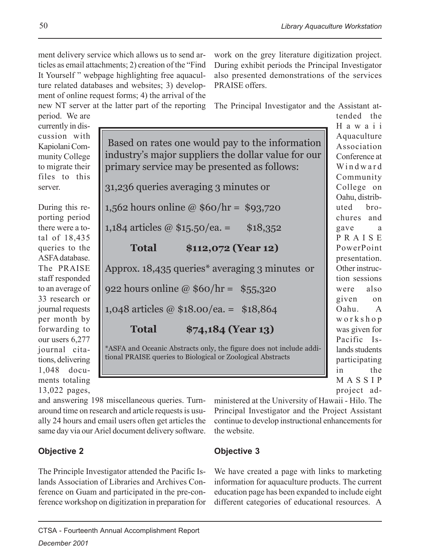ment delivery service which allows us to send articles as email attachments; 2) creation of the "Find It Yourself " webpage highlighting free aquaculture related databases and websites; 3) development of online request forms; 4) the arrival of the new NT server at the latter part of the reporting

work on the grey literature digitization project. During exhibit periods the Principal Investigator also presented demonstrations of the services PRAISE offers.

The Principal Investigator and the Assistant at-

period. We are currently in discussion with Kapiolani Community College to migrate their files to this server.

During this reporting period there were a total of 18,435 queries to the ASFA database. The PRAISE staff responded to an average of 33 research or journal requests per month by forwarding to our users 6,277 journal citations, delivering 1,048 documents totaling 13,022 pages,

 Based on rates one would pay to the information industry's major suppliers the dollar value for our primary service may be presented as follows: 31,236 queries averaging 3 minutes or 1,562 hours online @ \$60/hr = \$93,720 1,184 articles @  $$15.50$ /ea. =  $$18,352$ **Total \$112,072 (Year 12)** Approx. 18,435 queries\* averaging 3 minutes or 922 hours online @ \$60/hr = \$55,320 1,048 articles @ \$18.00/ea. = \$18,864 **Total \$74,184 (Year 13)** \*ASFA and Oceanic Abstracts only, the figure does not include additional PRAISE queries to Biological or Zoological Abstracts

Hawaii Aquaculture Association Conference at Windward Community College on Oahu, distributed brochures and gave a PRAISE PowerPoint presentation. Other instruction sessions were also given on Oahu. A workshop was given for Pacific Islands students participating in the MASSIP project administered at the University of Hawaii - Hilo. The

tended the

and answering 198 miscellaneous queries. Turnaround time on research and article requests is usually 24 hours and email users often get articles the same day via our Ariel document delivery software.

#### **Objective 2**

The Principle Investigator attended the Pacific Islands Association of Libraries and Archives Conference on Guam and participated in the pre-conference workshop on digitization in preparation for

#### **Objective 3**

the website.

We have created a page with links to marketing information for aquaculture products. The current education page has been expanded to include eight different categories of educational resources. A

Principal Investigator and the Project Assistant continue to develop instructional enhancements for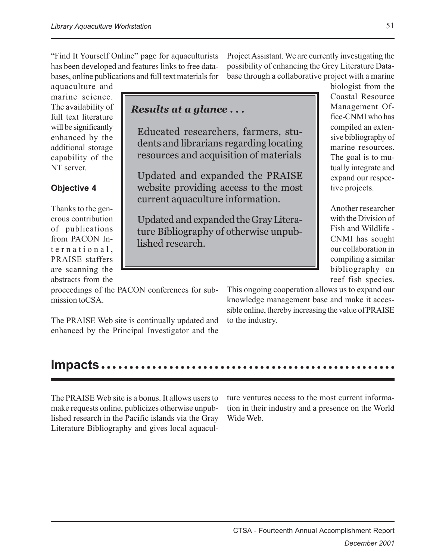"Find It Yourself Online" page for aquaculturists has been developed and features links to free databases, online publications and full text materials for

aquaculture and marine science. The availability of full text literature will be significantly enhanced by the additional storage capability of the NT server.

#### **Objective 4**

Thanks to the generous contribution of publications from PACON International, PRAISE staffers are scanning the abstracts from the

proceedings of the PACON conferences for submission toCSA.

The PRAISE Web site is continually updated and enhanced by the Principal Investigator and the Project Assistant. We are currently investigating the possibility of enhancing the Grey Literature Database through a collaborative project with a marine

#### *Results at a glance . . .*

Educated researchers, farmers, students and librarians regarding locating resources and acquisition of materials

Updated and expanded the PRAISE website providing access to the most current aquaculture information.

Updated and expanded the Gray Literature Bibliography of otherwise unpublished research.

biologist from the Coastal Resource Management Office-CNMI who has compiled an extensive bibliography of marine resources. The goal is to mutually integrate and expand our respective projects.

Another researcher with the Division of Fish and Wildlife - CNMI has sought our collaboration in compiling a similar bibliography on reef fish species.

This ongoing cooperation allows us to expand our knowledge management base and make it accessible online, thereby increasing the value of PRAISE to the industry.

### **Impacts......**

The PRAISE Web site is a bonus. It allows users to make requests online, publicizes otherwise unpublished research in the Pacific islands via the Gray Literature Bibliography and gives local aquaculture ventures access to the most current information in their industry and a presence on the World Wide Web.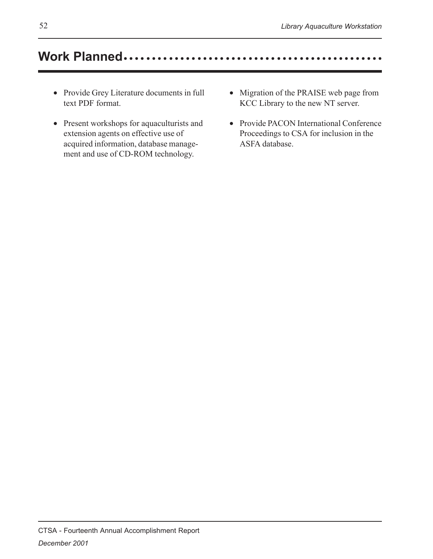## Work Planned .............................

- Provide Grey Literature documents in full text PDF format.
- Present workshops for aquaculturists and extension agents on effective use of acquired information, database management and use of CD-ROM technology.
- Migration of the PRAISE web page from KCC Library to the new NT server.
- Provide PACON International Conference Proceedings to CSA for inclusion in the ASFA database.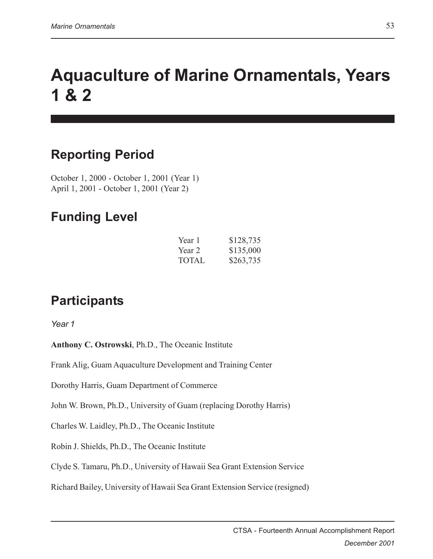# **Aquaculture of Marine Ornamentals, Years 1 & 2**

## **Reporting Period**

October 1, 2000 - October 1, 2001 (Year 1) April 1, 2001 - October 1, 2001 (Year 2)

### **Funding Level**

| Year 1 | \$128,735 |
|--------|-----------|
| Year 2 | \$135,000 |
| TOTAL. | \$263,735 |

## **Participants**

*Year 1*

**Anthony C. Ostrowski**, Ph.D., The Oceanic Institute

Frank Alig, Guam Aquaculture Development and Training Center

Dorothy Harris, Guam Department of Commerce

John W. Brown, Ph.D., University of Guam (replacing Dorothy Harris)

Charles W. Laidley, Ph.D., The Oceanic Institute

Robin J. Shields, Ph.D., The Oceanic Institute

Clyde S. Tamaru, Ph.D., University of Hawaii Sea Grant Extension Service

Richard Bailey, University of Hawaii Sea Grant Extension Service (resigned)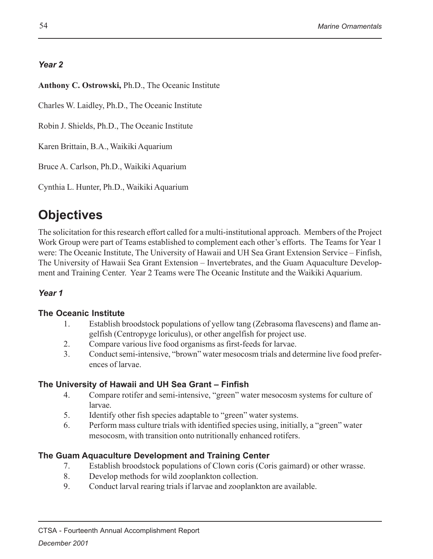#### *Year 2*

**Anthony C. Ostrowski,** Ph.D., The Oceanic Institute

Charles W. Laidley, Ph.D., The Oceanic Institute

Robin J. Shields, Ph.D., The Oceanic Institute

Karen Brittain, B.A., Waikiki Aquarium

Bruce A. Carlson, Ph.D., Waikiki Aquarium

Cynthia L. Hunter, Ph.D., Waikiki Aquarium

## **Objectives**

The solicitation for this research effort called for a multi-institutional approach. Members of the Project Work Group were part of Teams established to complement each other's efforts. The Teams for Year 1 were: The Oceanic Institute, The University of Hawaii and UH Sea Grant Extension Service – Finfish, The University of Hawaii Sea Grant Extension – Invertebrates, and the Guam Aquaculture Development and Training Center. Year 2 Teams were The Oceanic Institute and the Waikiki Aquarium.

#### *Year 1*

#### **The Oceanic Institute**

- 1. Establish broodstock populations of yellow tang (Zebrasoma flavescens) and flame angelfish (Centropyge loriculus), or other angelfish for project use.
- 2. Compare various live food organisms as first-feeds for larvae.
- 3. Conduct semi-intensive, "brown" water mesocosm trials and determine live food preferences of larvae.

#### **The University of Hawaii and UH Sea Grant – Finfish**

- 4. Compare rotifer and semi-intensive, "green" water mesocosm systems for culture of larvae.
- 5. Identify other fish species adaptable to "green" water systems.
- 6. Perform mass culture trials with identified species using, initially, a "green" water mesocosm, with transition onto nutritionally enhanced rotifers.

#### **The Guam Aquaculture Development and Training Center**

- 7. Establish broodstock populations of Clown coris (Coris gaimard) or other wrasse.
- 8. Develop methods for wild zooplankton collection.
- 9. Conduct larval rearing trials if larvae and zooplankton are available.

CTSA - Fourteenth Annual Accomplishment Report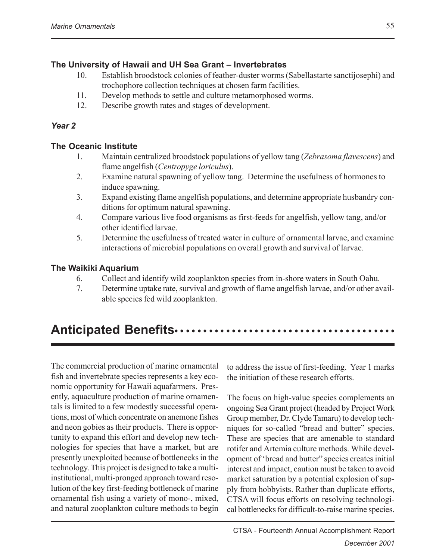#### **The University of Hawaii and UH Sea Grant – Invertebrates**

- 10. Establish broodstock colonies of feather-duster worms (Sabellastarte sanctijosephi) and trochophore collection techniques at chosen farm facilities.
- 11. Develop methods to settle and culture metamorphosed worms.
- 12. Describe growth rates and stages of development.

#### *Year 2*

#### **The Oceanic Institute**

- 1. Maintain centralized broodstock populations of yellow tang (*Zebrasoma flavescens*) and flame angelfish (*Centropyge loriculus*).
- 2. Examine natural spawning of yellow tang. Determine the usefulness of hormones to induce spawning.
- 3. Expand existing flame angelfish populations, and determine appropriate husbandry conditions for optimum natural spawning.
- 4. Compare various live food organisms as first-feeds for angelfish, yellow tang, and/or other identified larvae.
- 5. Determine the usefulness of treated water in culture of ornamental larvae, and examine interactions of microbial populations on overall growth and survival of larvae.

#### **The Waikiki Aquarium**

- 6. Collect and identify wild zooplankton species from in-shore waters in South Oahu.
- 7. Determine uptake rate, survival and growth of flame angelfish larvae, and/or other available species fed wild zooplankton.

### Anticipated Benefits ······················

The commercial production of marine ornamental fish and invertebrate species represents a key economic opportunity for Hawaii aquafarmers. Presently, aquaculture production of marine ornamentals is limited to a few modestly successful operations, most of which concentrate on anemone fishes and neon gobies as their products. There is opportunity to expand this effort and develop new technologies for species that have a market, but are presently unexploited because of bottlenecks in the technology. This project is designed to take a multiinstitutional, multi-pronged approach toward resolution of the key first-feeding bottleneck of marine ornamental fish using a variety of mono-, mixed, and natural zooplankton culture methods to begin to address the issue of first-feeding. Year 1 marks the initiation of these research efforts.

The focus on high-value species complements an ongoing Sea Grant project (headed by Project Work Group member, Dr. Clyde Tamaru) to develop techniques for so-called "bread and butter" species. These are species that are amenable to standard rotifer and Artemia culture methods. While development of 'bread and butter" species creates initial interest and impact, caution must be taken to avoid market saturation by a potential explosion of supply from hobbyists. Rather than duplicate efforts, CTSA will focus efforts on resolving technological bottlenecks for difficult-to-raise marine species.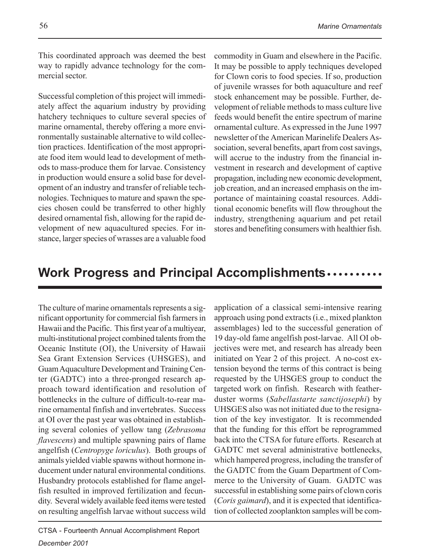This coordinated approach was deemed the best way to rapidly advance technology for the commercial sector.

Successful completion of this project will immediately affect the aquarium industry by providing hatchery techniques to culture several species of marine ornamental, thereby offering a more environmentally sustainable alternative to wild collection practices. Identification of the most appropriate food item would lead to development of methods to mass-produce them for larvae. Consistency in production would ensure a solid base for development of an industry and transfer of reliable technologies. Techniques to mature and spawn the species chosen could be transferred to other highly desired ornamental fish, allowing for the rapid development of new aquacultured species. For instance, larger species of wrasses are a valuable food

commodity in Guam and elsewhere in the Pacific. It may be possible to apply techniques developed for Clown coris to food species. If so, production of juvenile wrasses for both aquaculture and reef stock enhancement may be possible. Further, development of reliable methods to mass culture live feeds would benefit the entire spectrum of marine ornamental culture. As expressed in the June 1997 newsletter of the American Marinelife Dealers Association, several benefits, apart from cost savings, will accrue to the industry from the financial investment in research and development of captive propagation, including new economic development, job creation, and an increased emphasis on the importance of maintaining coastal resources. Additional economic benefits will flow throughout the industry, strengthening aquarium and pet retail stores and benefiting consumers with healthier fish.

### **Work Progress and Principal Accomplishments •••••••••••**

The culture of marine ornamentals represents a significant opportunity for commercial fish farmers in Hawaii and the Pacific. This first year of a multiyear, multi-institutional project combined talents from the Oceanic Institute (OI), the University of Hawaii Sea Grant Extension Services (UHSGES), and Guam Aquaculture Development and Training Center (GADTC) into a three-pronged research approach toward identification and resolution of bottlenecks in the culture of difficult-to-rear marine ornamental finfish and invertebrates. Success at OI over the past year was obtained in establishing several colonies of yellow tang (*Zebrasoma flavescens*) and multiple spawning pairs of flame angelfish (*Centropyge loriculus*). Both groups of animals yielded viable spawns without hormone inducement under natural environmental conditions. Husbandry protocols established for flame angelfish resulted in improved fertilization and fecundity. Several widely available feed items were tested on resulting angelfish larvae without success wild

application of a classical semi-intensive rearing approach using pond extracts (i.e., mixed plankton assemblages) led to the successful generation of 19 day-old fame angelfish post-larvae. All OI objectives were met, and research has already been initiated on Year 2 of this project. A no-cost extension beyond the terms of this contract is being requested by the UHSGES group to conduct the targeted work on finfish. Research with featherduster worms (*Sabellastarte sanctijosephi*) by UHSGES also was not initiated due to the resignation of the key investigator. It is recommended that the funding for this effort be reprogrammed back into the CTSA for future efforts. Research at GADTC met several administrative bottlenecks, which hampered progress, including the transfer of the GADTC from the Guam Department of Commerce to the University of Guam. GADTC was successful in establishing some pairs of clown coris (*Coris gaimard*), and it is expected that identification of collected zooplankton samples will be com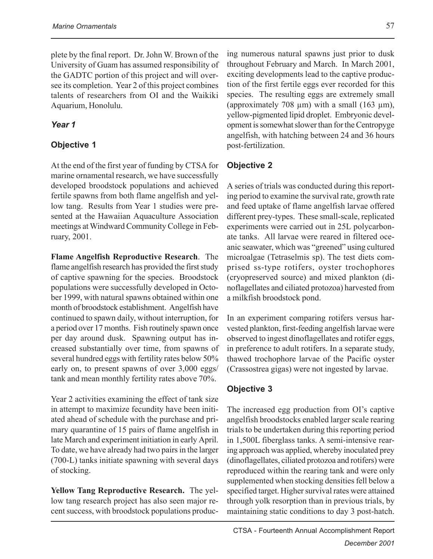plete by the final report. Dr. John W. Brown of the University of Guam has assumed responsibility of the GADTC portion of this project and will oversee its completion. Year 2 of this project combines talents of researchers from OI and the Waikiki Aquarium, Honolulu.

#### *Year 1*

#### **Objective 1**

At the end of the first year of funding by CTSA for marine ornamental research, we have successfully developed broodstock populations and achieved fertile spawns from both flame angelfish and yellow tang. Results from Year 1 studies were presented at the Hawaiian Aquaculture Association meetings at Windward Community College in February, 2001.

**Flame Angelfish Reproductive Research**. The flame angelfish research has provided the first study of captive spawning for the species. Broodstock populations were successfully developed in October 1999, with natural spawns obtained within one month of broodstock establishment. Angelfish have continued to spawn daily, without interruption, for a period over 17 months. Fish routinely spawn once per day around dusk. Spawning output has increased substantially over time, from spawns of several hundred eggs with fertility rates below 50% early on, to present spawns of over 3,000 eggs/ tank and mean monthly fertility rates above 70%.

Year 2 activities examining the effect of tank size in attempt to maximize fecundity have been initiated ahead of schedule with the purchase and primary quarantine of 15 pairs of flame angelfish in late March and experiment initiation in early April. To date, we have already had two pairs in the larger (700-L) tanks initiate spawning with several days of stocking.

**Yellow Tang Reproductive Research.** The yellow tang research project has also seen major recent success, with broodstock populations produc-

ing numerous natural spawns just prior to dusk throughout February and March. In March 2001, exciting developments lead to the captive production of the first fertile eggs ever recorded for this species. The resulting eggs are extremely small (approximately 708  $\mu$ m) with a small (163  $\mu$ m), yellow-pigmented lipid droplet. Embryonic development is somewhat slower than for the Centropyge angelfish, with hatching between 24 and 36 hours post-fertilization.

#### **Objective 2**

A series of trials was conducted during this reporting period to examine the survival rate, growth rate and feed uptake of flame angelfish larvae offered different prey-types. These small-scale, replicated experiments were carried out in 25L polycarbonate tanks. All larvae were reared in filtered oceanic seawater, which was "greened" using cultured microalgae (Tetraselmis sp). The test diets comprised ss-type rotifers, oyster trochophores (cryopreserved source) and mixed plankton (dinoflagellates and ciliated protozoa) harvested from a milkfish broodstock pond.

In an experiment comparing rotifers versus harvested plankton, first-feeding angelfish larvae were observed to ingest dinoflagellates and rotifer eggs, in preference to adult rotifers. In a separate study, thawed trochophore larvae of the Pacific oyster (Crassostrea gigas) were not ingested by larvae.

#### **Objective 3**

The increased egg production from OI's captive angelfish broodstocks enabled larger scale rearing trials to be undertaken during this reporting period in 1,500L fiberglass tanks. A semi-intensive rearing approach was applied, whereby inoculated prey (dinoflagellates, ciliated protozoa and rotifers) were reproduced within the rearing tank and were only supplemented when stocking densities fell below a specified target. Higher survival rates were attained through yolk resorption than in previous trials, by maintaining static conditions to day 3 post-hatch.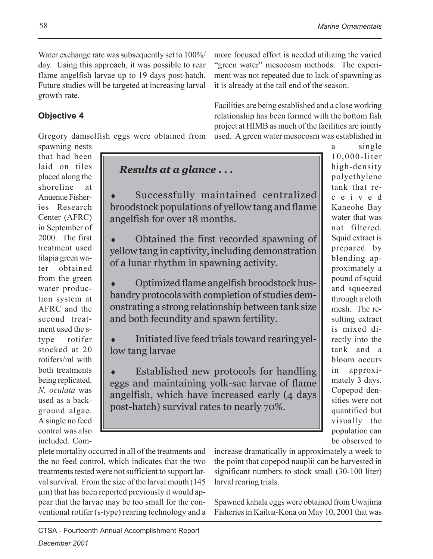more focused effort is needed utilizing the varied "green water" mesocosm methods. The experiment was not repeated due to lack of spawning as

Facilities are being established and a close working relationship has been formed with the bottom fish project at HIMB as much of the facilities are jointly used. A green water mesocosm was established in

it is already at the tail end of the season.

Water exchange rate was subsequently set to 100%/ day. Using this approach, it was possible to rear flame angelfish larvae up to 19 days post-hatch. Future studies will be targeted at increasing larval growth rate.

### **Objective 4**

Gregory damselfish eggs were obtained from

spawning nests that had been laid on tiles placed along the shoreline at Anuenue Fisheries Research Center (AFRC) in September of 2000. The first treatment used tilapia green water obtained from the green water production system at AFRC and the second treatment used the stype rotifer stocked at 20 rotifers/ml with both treatments being replicated. *N. oculata* was used as a background algae. A single no feed control was also included. Com-

*Results at a glance . . .*

Successfully maintained centralized broodstock populations of yellow tang and flame angelfish for over 18 months.

Obtained the first recorded spawning of yellow tang in captivity, including demonstration of a lunar rhythm in spawning activity.

Optimized flame angelfish broodstock husbandry protocols with completion of studies demonstrating a strong relationship between tank size and both fecundity and spawn fertility.

Initiated live feed trials toward rearing yellow tang larvae

Established new protocols for handling eggs and maintaining yolk-sac larvae of flame angelfish, which have increased early (4 days post-hatch) survival rates to nearly 70%.

a single 10,000-liter high-density polyethylene tank that received Kaneohe Bay water that was not filtered. Squid extract is prepared by blending approximately a pound of squid and squeezed through a cloth mesh. The resulting extract is mixed directly into the tank and a bloom occurs in approximately 3 days. Copepod densities were not quantified but visually the population can be observed to

plete mortality occurred in all of the treatments and the no feed control, which indicates that the two treatments tested were not sufficient to support larval survival. From the size of the larval mouth (145 µm) that has been reported previously it would appear that the larvae may be too small for the conventional rotifer (s-type) rearing technology and a increase dramatically in approximately a week to the point that copepod nauplii can be harvested in significant numbers to stock small (30-100 liter) larval rearing trials.

Spawned kahala eggs were obtained from Uwajima Fisheries in Kailua-Kona on May 10, 2001 that was

CTSA - Fourteenth Annual Accomplishment Report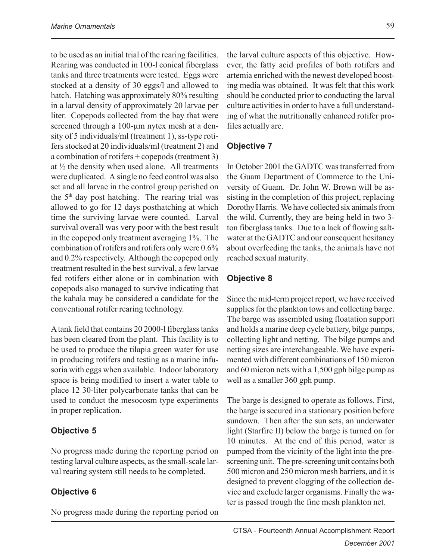to be used as an initial trial of the rearing facilities. Rearing was conducted in 100-l conical fiberglass tanks and three treatments were tested. Eggs were stocked at a density of 30 eggs/l and allowed to hatch. Hatching was approximately 80% resulting in a larval density of approximately 20 larvae per liter. Copepods collected from the bay that were screened through a 100-um nytex mesh at a density of 5 individuals/ml (treatment 1), ss-type rotifers stocked at 20 individuals/ml (treatment 2) and a combination of rotifers + copepods (treatment 3) at  $\frac{1}{2}$  the density when used alone. All treatments were duplicated. A single no feed control was also set and all larvae in the control group perished on the  $5<sup>th</sup>$  day post hatching. The rearing trial was allowed to go for 12 days posthatching at which time the surviving larvae were counted. Larval survival overall was very poor with the best result in the copepod only treatment averaging 1%. The combination of rotifers and rotifers only were 0.6% and 0.2% respectively. Although the copepod only treatment resulted in the best survival, a few larvae fed rotifers either alone or in combination with copepods also managed to survive indicating that the kahala may be considered a candidate for the conventional rotifer rearing technology.

A tank field that contains 20 2000-l fiberglass tanks has been cleared from the plant. This facility is to be used to produce the tilapia green water for use in producing rotifers and testing as a marine infusoria with eggs when available. Indoor laboratory space is being modified to insert a water table to place 12 30-liter polycarbonate tanks that can be used to conduct the mesocosm type experiments in proper replication.

#### **Objective 5**

No progress made during the reporting period on testing larval culture aspects, as the small-scale larval rearing system still needs to be completed.

#### **Objective 6**

No progress made during the reporting period on

the larval culture aspects of this objective. However, the fatty acid profiles of both rotifers and artemia enriched with the newest developed boosting media was obtained. It was felt that this work should be conducted prior to conducting the larval culture activities in order to have a full understanding of what the nutritionally enhanced rotifer profiles actually are.

#### **Objective 7**

In October 2001 the GADTC was transferred from the Guam Department of Commerce to the University of Guam. Dr. John W. Brown will be assisting in the completion of this project, replacing Dorothy Harris. We have collected six animals from the wild. Currently, they are being held in two 3 ton fiberglass tanks. Due to a lack of flowing saltwater at the GADTC and our consequent hesitancy about overfeeding the tanks, the animals have not reached sexual maturity.

#### **Objective 8**

Since the mid-term project report, we have received supplies for the plankton tows and collecting barge. The barge was assembled using floatation support and holds a marine deep cycle battery, bilge pumps, collecting light and netting. The bilge pumps and netting sizes are interchangeable. We have experimented with different combinations of 150 micron and 60 micron nets with a 1,500 gph bilge pump as well as a smaller 360 gph pump.

The barge is designed to operate as follows. First, the barge is secured in a stationary position before sundown. Then after the sun sets, an underwater light (Starfire II) below the barge is turned on for 10 minutes. At the end of this period, water is pumped from the vicinity of the light into the prescreening unit. The pre-screening unit contains both 500 micron and 250 micron mesh barriers, and it is designed to prevent clogging of the collection device and exclude larger organisms. Finally the water is passed trough the fine mesh plankton net.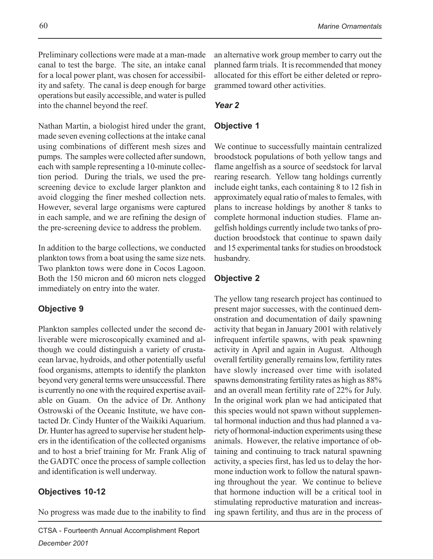Preliminary collections were made at a man-made canal to test the barge. The site, an intake canal for a local power plant, was chosen for accessibility and safety. The canal is deep enough for barge operations but easily accessible, and water is pulled into the channel beyond the reef.

Nathan Martin, a biologist hired under the grant, made seven evening collections at the intake canal using combinations of different mesh sizes and pumps. The samples were collected after sundown, each with sample representing a 10-minute collection period. During the trials, we used the prescreening device to exclude larger plankton and avoid clogging the finer meshed collection nets. However, several large organisms were captured in each sample, and we are refining the design of the pre-screening device to address the problem.

In addition to the barge collections, we conducted plankton tows from a boat using the same size nets. Two plankton tows were done in Cocos Lagoon. Both the 150 micron and 60 micron nets clogged immediately on entry into the water.

#### **Objective 9**

Plankton samples collected under the second deliverable were microscopically examined and although we could distinguish a variety of crustacean larvae, hydroids, and other potentially useful food organisms, attempts to identify the plankton beyond very general terms were unsuccessful. There is currently no one with the required expertise available on Guam. On the advice of Dr. Anthony Ostrowski of the Oceanic Institute, we have contacted Dr. Cindy Hunter of the Waikiki Aquarium. Dr. Hunter has agreed to supervise her student helpers in the identification of the collected organisms and to host a brief training for Mr. Frank Alig of the GADTC once the process of sample collection and identification is well underway.

#### **Objectives 10-12**

No progress was made due to the inability to find

#### *Year 2*

#### **Objective 1**

We continue to successfully maintain centralized broodstock populations of both yellow tangs and flame angelfish as a source of seedstock for larval rearing research. Yellow tang holdings currently include eight tanks, each containing 8 to 12 fish in approximately equal ratio of males to females, with plans to increase holdings by another 8 tanks to complete hormonal induction studies. Flame angelfish holdings currently include two tanks of production broodstock that continue to spawn daily and 15 experimental tanks for studies on broodstock husbandry.

#### **Objective 2**

The yellow tang research project has continued to present major successes, with the continued demonstration and documentation of daily spawning activity that began in January 2001 with relatively infrequent infertile spawns, with peak spawning activity in April and again in August. Although overall fertility generally remains low, fertility rates have slowly increased over time with isolated spawns demonstrating fertility rates as high as 88% and an overall mean fertility rate of 22% for July. In the original work plan we had anticipated that this species would not spawn without supplemental hormonal induction and thus had planned a variety of hormonal-induction experiments using these animals. However, the relative importance of obtaining and continuing to track natural spawning activity, a species first, has led us to delay the hormone induction work to follow the natural spawning throughout the year. We continue to believe that hormone induction will be a critical tool in stimulating reproductive maturation and increasing spawn fertility, and thus are in the process of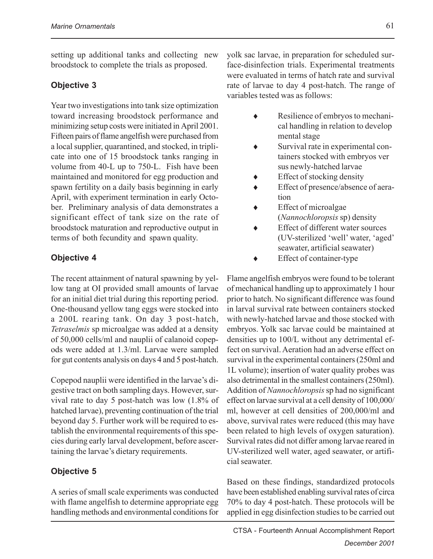setting up additional tanks and collecting new broodstock to complete the trials as proposed.

#### **Objective 3**

Year two investigations into tank size optimization toward increasing broodstock performance and minimizing setup costs were initiated in April 2001. Fifteen pairs of flame angelfish were purchased from a local supplier, quarantined, and stocked, in triplicate into one of 15 broodstock tanks ranging in volume from 40-L up to 750-L. Fish have been maintained and monitored for egg production and spawn fertility on a daily basis beginning in early April, with experiment termination in early October. Preliminary analysis of data demonstrates a significant effect of tank size on the rate of broodstock maturation and reproductive output in terms of both fecundity and spawn quality.

#### **Objective 4**

The recent attainment of natural spawning by yellow tang at OI provided small amounts of larvae for an initial diet trial during this reporting period. One-thousand yellow tang eggs were stocked into a 200L rearing tank. On day 3 post-hatch, *Tetraselmis* sp microalgae was added at a density of 50,000 cells/ml and nauplii of calanoid copepods were added at 1.3/ml. Larvae were sampled for gut contents analysis on days 4 and 5 post-hatch.

Copepod nauplii were identified in the larvae's digestive tract on both sampling days. However, survival rate to day 5 post-hatch was low (1.8% of hatched larvae), preventing continuation of the trial beyond day 5. Further work will be required to establish the environmental requirements of this species during early larval development, before ascertaining the larvae's dietary requirements.

#### **Objective 5**

A series of small scale experiments was conducted with flame angelfish to determine appropriate egg handling methods and environmental conditions for

yolk sac larvae, in preparation for scheduled surface-disinfection trials. Experimental treatments were evaluated in terms of hatch rate and survival rate of larvae to day 4 post-hatch. The range of variables tested was as follows:

- Resilience of embryos to mechanical handling in relation to develop mental stage
- ♦ Survival rate in experimental containers stocked with embryos ver sus newly-hatched larvae
- Effect of stocking density
- Effect of presence/absence of aeration
- ♦ Effect of microalgae (*Nannochloropsis* sp) density
- Effect of different water sources (UV-sterilized 'well' water, 'aged' seawater, artificial seawater)
- ♦ Effect of container-type

Flame angelfish embryos were found to be tolerant of mechanical handling up to approximately 1 hour prior to hatch. No significant difference was found in larval survival rate between containers stocked with newly-hatched larvae and those stocked with embryos. Yolk sac larvae could be maintained at densities up to 100/L without any detrimental effect on survival. Aeration had an adverse effect on survival in the experimental containers (250ml and 1L volume); insertion of water quality probes was also detrimental in the smallest containers (250ml). Addition of *Nannochloropsis* sp had no significant effect on larvae survival at a cell density of 100,000/ ml, however at cell densities of 200,000/ml and above, survival rates were reduced (this may have been related to high levels of oxygen saturation). Survival rates did not differ among larvae reared in UV-sterilized well water, aged seawater, or artificial seawater.

Based on these findings, standardized protocols have been established enabling survival rates of circa 70% to day 4 post-hatch. These protocols will be applied in egg disinfection studies to be carried out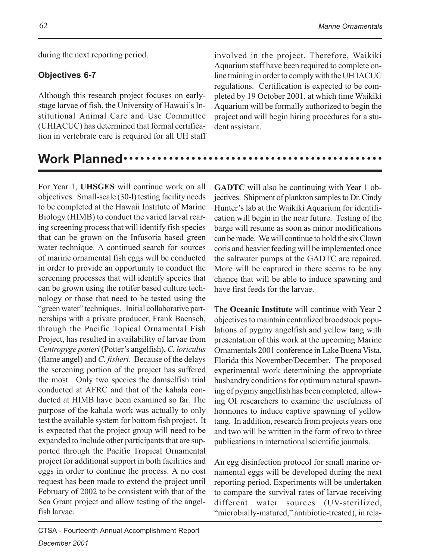during the next reporting period.

#### **Objectives 6-7**

Although this research project focuses on earlystage larvae of fish, the University of Hawaii's Institutional Animal Care and Use Committee (UHIACUC) has determined that formal certification in vertebrate care is required for all UH staff involved in the project. Therefore, Waikiki Aquarium staff have been required to complete online training in order to comply with the UH IACUC regulations. Certification is expected to be completed by 19 October 2001, at which time Waikiki Aquarium will be formally authorized to begin the project and will begin hiring procedures for a student assistant.

### Work Planned ····

For Year 1, **UHSGES** will continue work on all objectives. Small-scale (30-l) testing facility needs to be completed at the Hawaii Institute of Marine Biology (HIMB) to conduct the varied larval rearing screening process that will identify fish species that can be grown on the Infusoria based green water technique. A continued search for sources of marine ornamental fish eggs will be conducted in order to provide an opportunity to conduct the screening processes that will identify species that can be grown using the rotifer based culture technology or those that need to be tested using the "green water" techniques. Initial collaborative partnerships with a private producer, Frank Baensch, through the Pacific Topical Ornamental Fish Project, has resulted in availability of larvae from *Centropyge potteri* (Potter's angelfish), *C. loriculus* (flame angel) and *C. fisheri*. Because of the delays the screening portion of the project has suffered the most. Only two species the damselfish trial conducted at AFRC and that of the kahala conducted at HIMB have been examined so far. The purpose of the kahala work was actually to only test the available system for bottom fish project. It is expected that the project group will need to be expanded to include other participants that are supported through the Pacific Tropical Ornamental project for additional support in both facilities and eggs in order to continue the process. A no cost request has been made to extend the project until February of 2002 to be consistent with that of the Sea Grant project and allow testing of the angelfish larvae.

**GADTC** will also be continuing with Year 1 objectives. Shipment of plankton samples to Dr. Cindy Hunter's lab at the Waikiki Aquarium for identification will begin in the near future. Testing of the barge will resume as soon as minor modifications can be made. We will continue to hold the six Clown coris and heavier feeding will be implemented once the saltwater pumps at the GADTC are repaired. More will be captured in there seems to be any chance that will be able to induce spawning and have first feeds for the larvae.

The **Oceanic Institute** will continue with Year 2 objectives to maintain centralized broodstock populations of pygmy angelfish and yellow tang with presentation of this work at the upcoming Marine Ornamentals 2001 conference in Lake Buena Vista, Florida this November/December. The proposed experimental work determining the appropriate husbandry conditions for optimum natural spawning of pygmy angelfish has been completed, allowing OI researchers to examine the usefulness of hormones to induce captive spawning of yellow tang. In addition, research from projects years one and two will be written in the form of two to three publications in international scientific journals.

An egg disinfection protocol for small marine ornamental eggs will be developed during the next reporting period. Experiments will be undertaken to compare the survival rates of larvae receiving different water sources (UV-sterilized, "microbially-matured," antibiotic-treated), in rela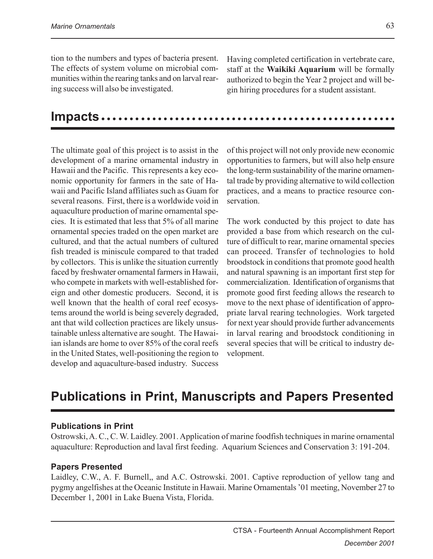tion to the numbers and types of bacteria present. The effects of system volume on microbial communities within the rearing tanks and on larval rearing success will also be investigated.

Having completed certification in vertebrate care, staff at the **Waikiki Aquarium** will be formally authorized to begin the Year 2 project and will begin hiring procedures for a student assistant.

### **Impacts** ○○○○○○○○○○○○○○○○○○○○○○○○○○○○○○○○○○○○○○○○○○○○○○○○○○○○

The ultimate goal of this project is to assist in the development of a marine ornamental industry in Hawaii and the Pacific. This represents a key economic opportunity for farmers in the sate of Hawaii and Pacific Island affiliates such as Guam for several reasons. First, there is a worldwide void in aquaculture production of marine ornamental species. It is estimated that less that 5% of all marine ornamental species traded on the open market are cultured, and that the actual numbers of cultured fish treaded is miniscule compared to that traded by collectors. This is unlike the situation currently faced by freshwater ornamental farmers in Hawaii, who compete in markets with well-established foreign and other domestic producers. Second, it is well known that the health of coral reef ecosystems around the world is being severely degraded, ant that wild collection practices are likely unsustainable unless alternative are sought. The Hawaiian islands are home to over 85% of the coral reefs in the United States, well-positioning the region to develop and aquaculture-based industry. Success

of this project will not only provide new economic opportunities to farmers, but will also help ensure the long-term sustainability of the marine ornamental trade by providing alternative to wild collection practices, and a means to practice resource conservation.

The work conducted by this project to date has provided a base from which research on the culture of difficult to rear, marine ornamental species can proceed. Transfer of technologies to hold broodstock in conditions that promote good health and natural spawning is an important first step for commercialization. Identification of organisms that promote good first feeding allows the research to move to the next phase of identification of appropriate larval rearing technologies. Work targeted for next year should provide further advancements in larval rearing and broodstock conditioning in several species that will be critical to industry development.

### **Publications in Print, Manuscripts and Papers Presented**

#### **Publications in Print**

Ostrowski, A. C., C. W. Laidley. 2001. Application of marine foodfish techniques in marine ornamental aquaculture: Reproduction and laval first feeding. Aquarium Sciences and Conservation 3: 191-204.

#### **Papers Presented**

Laidley, C.W., A. F. Burnell,, and A.C. Ostrowski. 2001. Captive reproduction of yellow tang and pygmy angelfishes at the Oceanic Institute in Hawaii. Marine Ornamentals '01 meeting, November 27 to December 1, 2001 in Lake Buena Vista, Florida.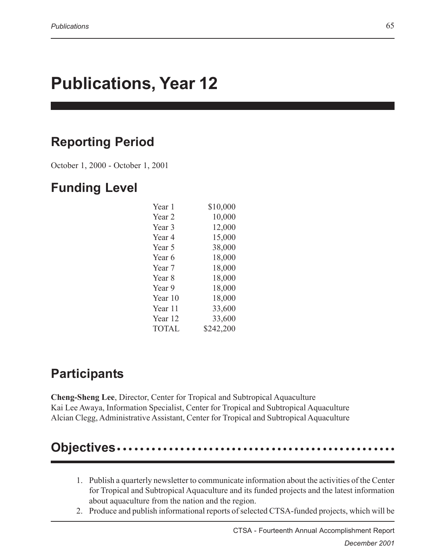# **Publications, Year 12**

## **Reporting Period**

October 1, 2000 - October 1, 2001

### **Funding Level**

| Year 1            | \$10,000  |
|-------------------|-----------|
| Year <sub>2</sub> | 10,000    |
| Year 3            | 12,000    |
| Year 4            | 15,000    |
| Year 5            | 38,000    |
| Year 6            | 18,000    |
| Year 7            | 18,000    |
| Year 8            | 18,000    |
| Year 9            | 18,000    |
| Year 10           | 18,000    |
| Year 11           | 33,600    |
| Year 12           | 33,600    |
| TOTAL             | \$242,200 |

### **Participants**

**Cheng-Sheng Lee**, Director, Center for Tropical and Subtropical Aquaculture Kai Lee Awaya, Information Specialist, Center for Tropical and Subtropical Aquaculture Alcian Clegg, Administrative Assistant, Center for Tropical and Subtropical Aquaculture

## **Objectives** • • •

- 1. Publish a quarterly newsletter to communicate information about the activities of the Center for Tropical and Subtropical Aquaculture and its funded projects and the latest information about aquaculture from the nation and the region.
- 2. Produce and publish informational reports of selected CTSA-funded projects, which will be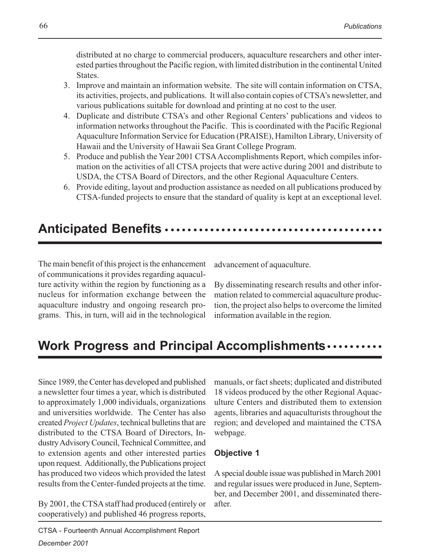distributed at no charge to commercial producers, aquaculture researchers and other interested parties throughout the Pacific region, with limited distribution in the continental United States.

- 3. Improve and maintain an information website. The site will contain information on CTSA, its activities, projects, and publications. It will also contain copies of CTSA's newsletter, and various publications suitable for download and printing at no cost to the user.
- 4. Duplicate and distribute CTSA's and other Regional Centers' publications and videos to information networks throughout the Pacific. This is coordinated with the Pacific Regional Aquaculture Information Service for Education (PRAISE), Hamilton Library, University of Hawaii and the University of Hawaii Sea Grant College Program.
- 5. Produce and publish the Year 2001 CTSA Accomplishments Report, which compiles information on the activities of all CTSA projects that were active during 2001 and distribute to USDA, the CTSA Board of Directors, and the other Regional Aquaculture Centers.
- 6. Provide editing, layout and production assistance as needed on all publications produced by CTSA-funded projects to ensure that the standard of quality is kept at an exceptional level.

## Anticipated Benefits •••••••••••••••••••••

The main benefit of this project is the enhancement of communications it provides regarding aquaculture activity within the region by functioning as a nucleus for information exchange between the aquaculture industry and ongoing research programs. This, in turn, will aid in the technological

advancement of aquaculture.

By disseminating research results and other information related to commercial aquaculture production, the project also helps to overcome the limited information available in the region.

## **Work Progress and Principal Accomplishments** ○○○○○○○○○○

Since 1989, the Center has developed and published a newsletter four times a year, which is distributed to approximately 1,000 individuals, organizations and universities worldwide. The Center has also created *Project Updates*, technical bulletins that are distributed to the CTSA Board of Directors, Industry Advisory Council, Technical Committee, and to extension agents and other interested parties upon request. Additionally, the Publications project has produced two videos which provided the latest results from the Center-funded projects at the time.

By 2001, the CTSA staff had produced (entirely or cooperatively) and published 46 progress reports,

manuals, or fact sheets; duplicated and distributed 18 videos produced by the other Regional Aquaculture Centers and distributed them to extension agents, libraries and aquaculturists throughout the region; and developed and maintained the CTSA webpage.

#### **Objective 1**

A special double issue was published in March 2001 and regular issues were produced in June, September, and December 2001, and disseminated thereafter.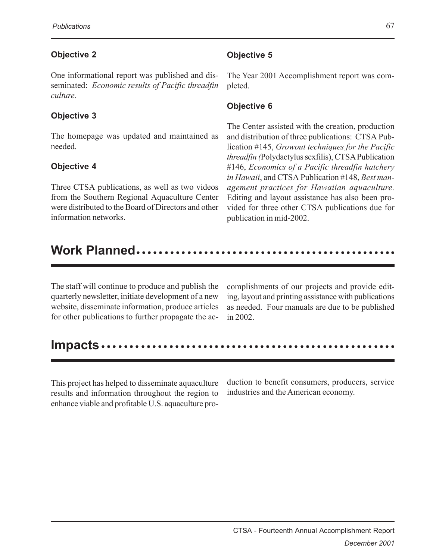#### **Objective 2**

One informational report was published and disseminated: *Economic results of Pacific threadfin culture.*

#### **Objective 3**

The homepage was updated and maintained as needed.

#### **Objective 4**

Three CTSA publications, as well as two videos from the Southern Regional Aquaculture Center were distributed to the Board of Directors and other information networks.

#### **Objective 5**

The Year 2001 Accomplishment report was completed.

#### **Objective 6**

The Center assisted with the creation, production and distribution of three publications: CTSA Publication #145, *Growout techniques for the Pacific threadfin (*Polydactylus sexfilis), CTSA Publication #146, *Economics of a Pacific threadfin hatchery in Hawaii*, and CTSA Publication #148, *Best management practices for Hawaiian aquaculture.* Editing and layout assistance has also been provided for three other CTSA publications due for publication in mid-2002.

### Work Planned.....

The staff will continue to produce and publish the quarterly newsletter, initiate development of a new website, disseminate information, produce articles for other publications to further propagate the accomplishments of our projects and provide editing, layout and printing assistance with publications as needed. Four manuals are due to be published in 2002.

|--|--|--|--|--|--|--|

This project has helped to disseminate aquaculture results and information throughout the region to enhance viable and profitable U.S. aquaculture production to benefit consumers, producers, service industries and the American economy.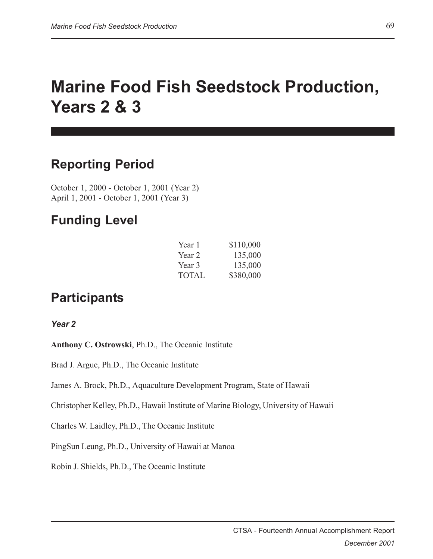# **Marine Food Fish Seedstock Production, Years 2 & 3**

### **Reporting Period**

October 1, 2000 - October 1, 2001 (Year 2) April 1, 2001 - October 1, 2001 (Year 3)

### **Funding Level**

| Year 1       | \$110,000 |
|--------------|-----------|
| Year 2       | 135,000   |
| Year 3       | 135,000   |
| <b>TOTAL</b> | \$380,000 |

### **Participants**

*Year 2*

**Anthony C. Ostrowski**, Ph.D., The Oceanic Institute

Brad J. Argue, Ph.D., The Oceanic Institute

James A. Brock, Ph.D., Aquaculture Development Program, State of Hawaii

Christopher Kelley, Ph.D., Hawaii Institute of Marine Biology, University of Hawaii

Charles W. Laidley, Ph.D., The Oceanic Institute

PingSun Leung, Ph.D., University of Hawaii at Manoa

Robin J. Shields, Ph.D., The Oceanic Institute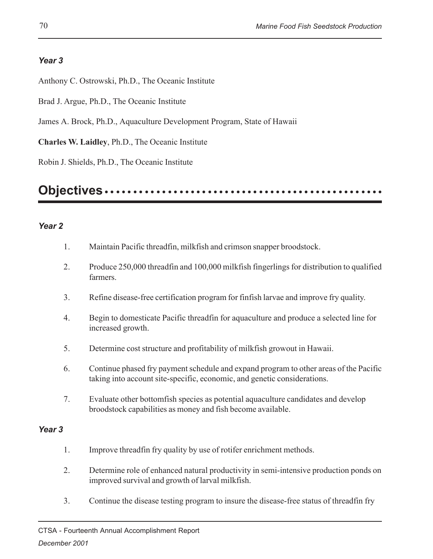#### *Year 3*

Anthony C. Ostrowski, Ph.D., The Oceanic Institute

Brad J. Argue, Ph.D., The Oceanic Institute

James A. Brock, Ph.D., Aquaculture Development Program, State of Hawaii

**Charles W. Laidley**, Ph.D., The Oceanic Institute

Robin J. Shields, Ph.D., The Oceanic Institute

#### **Objectives** ○○○○○○○○○○○○○ ○○○○○○○○○○○○○○○○○○○○○○○○○○○○○○○○○○○○

#### *Year 2*

- 1. Maintain Pacific threadfin, milkfish and crimson snapper broodstock.
- 2. Produce 250,000 threadfin and 100,000 milkfish fingerlings for distribution to qualified farmers.
- 3. Refine disease-free certification program for finfish larvae and improve fry quality.
- 4. Begin to domesticate Pacific threadfin for aquaculture and produce a selected line for increased growth.
- 5. Determine cost structure and profitability of milkfish growout in Hawaii.
- 6. Continue phased fry payment schedule and expand program to other areas of the Pacific taking into account site-specific, economic, and genetic considerations.
- 7. Evaluate other bottomfish species as potential aquaculture candidates and develop broodstock capabilities as money and fish become available.

#### *Year 3*

- 1. Improve threadfin fry quality by use of rotifer enrichment methods.
- 2. Determine role of enhanced natural productivity in semi-intensive production ponds on improved survival and growth of larval milkfish.
- 3. Continue the disease testing program to insure the disease-free status of threadfin fry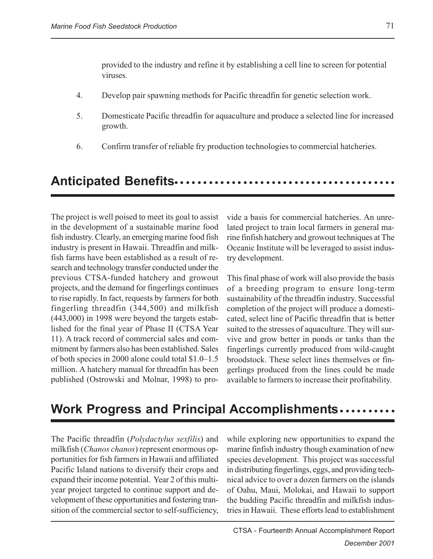provided to the industry and refine it by establishing a cell line to screen for potential viruses.

- 4. Develop pair spawning methods for Pacific threadfin for genetic selection work.
- 5. Domesticate Pacific threadfin for aquaculture and produce a selected line for increased growth.
- 6. Confirm transfer of reliable fry production technologies to commercial hatcheries.

### ○○○○○○○○○ ○○○○○○○○○○○○○○○○○○○○○○○○○○○○○○ **Anticipated Benefits**

The project is well poised to meet its goal to assist in the development of a sustainable marine food fish industry. Clearly, an emerging marine food fish industry is present in Hawaii. Threadfin and milkfish farms have been established as a result of research and technology transfer conducted under the previous CTSA-funded hatchery and growout projects, and the demand for fingerlings continues to rise rapidly. In fact, requests by farmers for both fingerling threadfin (344,500) and milkfish (443,000) in 1998 were beyond the targets established for the final year of Phase II (CTSA Year 11). A track record of commercial sales and commitment by farmers also has been established. Sales of both species in 2000 alone could total \$1.0–1.5 million. A hatchery manual for threadfin has been published (Ostrowski and Molnar, 1998) to pro-

vide a basis for commercial hatcheries. An unrelated project to train local farmers in general marine finfish hatchery and growout techniques at The Oceanic Institute will be leveraged to assist industry development.

This final phase of work will also provide the basis of a breeding program to ensure long-term sustainability of the threadfin industry. Successful completion of the project will produce a domesticated, select line of Pacific threadfin that is better suited to the stresses of aquaculture. They will survive and grow better in ponds or tanks than the fingerlings currently produced from wild-caught broodstock. These select lines themselves or fingerlings produced from the lines could be made available to farmers to increase their profitability.

### **Work Progress and Principal Accomplishments.........**

The Pacific threadfin (*Polydactylus sexfilis*) and milkfish (*Chanos chanos*) represent enormous opportunities for fish farmers in Hawaii and affiliated Pacific Island nations to diversify their crops and expand their income potential. Year 2 of this multiyear project targeted to continue support and development of these opportunities and fostering transition of the commercial sector to self-sufficiency, while exploring new opportunities to expand the marine finfish industry though examination of new species development. This project was successful in distributing fingerlings, eggs, and providing technical advice to over a dozen farmers on the islands of Oahu, Maui, Molokai, and Hawaii to support the budding Pacific threadfin and milkfish industries in Hawaii. These efforts lead to establishment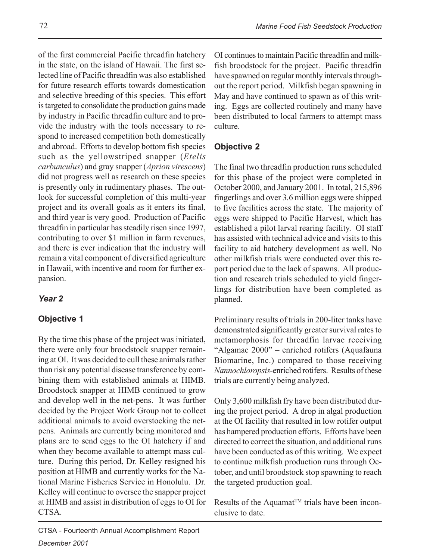of the first commercial Pacific threadfin hatchery in the state, on the island of Hawaii. The first selected line of Pacific threadfin was also established for future research efforts towards domestication and selective breeding of this species. This effort is targeted to consolidate the production gains made by industry in Pacific threadfin culture and to provide the industry with the tools necessary to respond to increased competition both domestically and abroad. Efforts to develop bottom fish species such as the yellowstriped snapper (*Etelis carbunculus*) and gray snapper (*Aprion virescens*) did not progress well as research on these species is presently only in rudimentary phases. The outlook for successful completion of this multi-year project and its overall goals as it enters its final, and third year is very good. Production of Pacific threadfin in particular has steadily risen since 1997, contributing to over \$1 million in farm revenues, and there is ever indication that the industry will remain a vital component of diversified agriculture in Hawaii, with incentive and room for further expansion.

#### *Year 2*

#### **Objective 1**

By the time this phase of the project was initiated, there were only four broodstock snapper remaining at OI. It was decided to cull these animals rather than risk any potential disease transference by combining them with established animals at HIMB. Broodstock snapper at HIMB continued to grow and develop well in the net-pens. It was further decided by the Project Work Group not to collect additional animals to avoid overstocking the netpens. Animals are currently being monitored and plans are to send eggs to the OI hatchery if and when they become available to attempt mass culture. During this period, Dr. Kelley resigned his position at HIMB and currently works for the National Marine Fisheries Service in Honolulu. Dr. Kelley will continue to oversee the snapper project at HIMB and assist in distribution of eggs to OI for CTSA.

CTSA - Fourteenth Annual Accomplishment Report *December 2001*

OI continues to maintain Pacific threadfin and milkfish broodstock for the project. Pacific threadfin have spawned on regular monthly intervals throughout the report period. Milkfish began spawning in May and have continued to spawn as of this writing. Eggs are collected routinely and many have been distributed to local farmers to attempt mass culture.

#### **Objective 2**

The final two threadfin production runs scheduled for this phase of the project were completed in October 2000, and January 2001. In total, 215,896 fingerlings and over 3.6 million eggs were shipped to five facilities across the state. The majority of eggs were shipped to Pacific Harvest, which has established a pilot larval rearing facility. OI staff has assisted with technical advice and visits to this facility to aid hatchery development as well. No other milkfish trials were conducted over this report period due to the lack of spawns. All production and research trials scheduled to yield fingerlings for distribution have been completed as planned.

Preliminary results of trials in 200-liter tanks have demonstrated significantly greater survival rates to metamorphosis for threadfin larvae receiving "Algamac 2000" – enriched rotifers (Aquafauna Biomarine, Inc.) compared to those receiving *Nannochloropsis*-enriched rotifers. Results of these trials are currently being analyzed.

Only 3,600 milkfish fry have been distributed during the project period. A drop in algal production at the OI facility that resulted in low rotifer output has hampered production efforts. Efforts have been directed to correct the situation, and additional runs have been conducted as of this writing. We expect to continue milkfish production runs through October, and until broodstock stop spawning to reach the targeted production goal.

Results of the Aquamat™ trials have been inconclusive to date.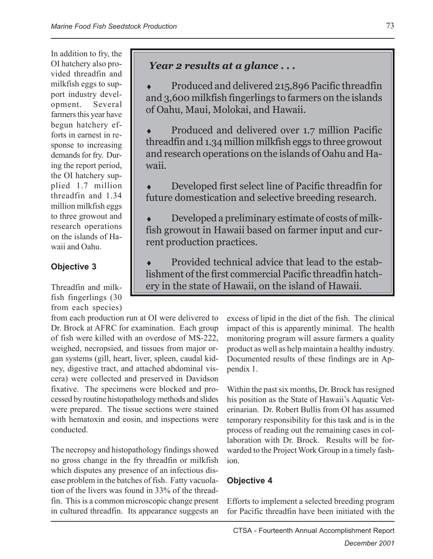In addition to fry, the OI hatchery also provided threadfin and milkfish eggs to support industry development. Several farmers this year have begun hatchery efforts in earnest in response to increasing demands for fry. During the report period, the OI hatchery supplied 1.7 million threadfin and 1.34 million milkfish eggs to three growout and research operations on the islands of Hawaii and Oahu.

### **Objective 3**

Threadfin and milkfish fingerlings (30 from each species)

## *Year 2 results at a glance . . .*

Produced and delivered 215,896 Pacific threadfin and 3,600 milkfish fingerlings to farmers on the islands of Oahu, Maui, Molokai, and Hawaii.

• Produced and delivered over 1.7 million Pacific threadfin and 1.34 million milkfish eggs to three growout and research operations on the islands of Oahu and Hawaii.

Developed first select line of Pacific threadfin for future domestication and selective breeding research.

 $\bullet$  Developed a preliminary estimate of costs of milkfish growout in Hawaii based on farmer input and current production practices.

Provided technical advice that lead to the establishment of the first commercial Pacific threadfin hatchery in the state of Hawaii, on the island of Hawaii.

from each production run at OI were delivered to Dr. Brock at AFRC for examination. Each group of fish were killed with an overdose of MS-222, weighed, necropsied, and tissues from major organ systems (gill, heart, liver, spleen, caudal kidney, digestive tract, and attached abdominal viscera) were collected and preserved in Davidson fixative. The specimens were blocked and processed by routine histopathology methods and slides were prepared. The tissue sections were stained with hematoxin and eosin, and inspections were conducted.

The necropsy and histopathology findings showed no gross change in the fry threadfin or milkfish which disputes any presence of an infectious disease problem in the batches of fish. Fatty vacuolation of the livers was found in 33% of the threadfin. This is a common microscopic change present in cultured threadfin. Its appearance suggests an excess of lipid in the diet of the fish. The clinical impact of this is apparently minimal. The health monitoring program will assure farmers a quality product as well as help maintain a healthy industry. Documented results of these findings are in Appendix 1.

Within the past six months, Dr. Brock has resigned his position as the State of Hawaii's Aquatic Veterinarian. Dr. Robert Bullis from OI has assumed temporary responsibility for this task and is in the process of reading out the remaining cases in collaboration with Dr. Brock. Results will be forwarded to the Project Work Group in a timely fashion.

### **Objective 4**

Efforts to implement a selected breeding program for Pacific threadfin have been initiated with the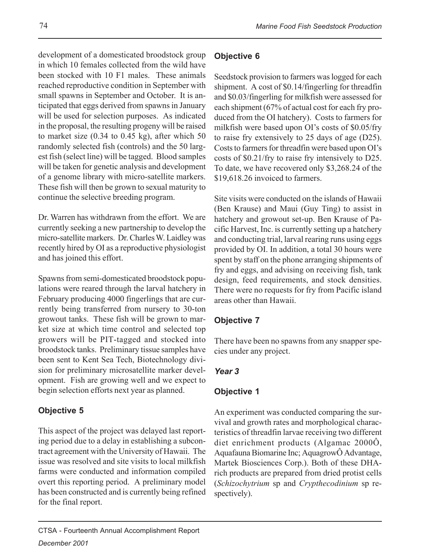development of a domesticated broodstock group in which 10 females collected from the wild have been stocked with 10 F1 males. These animals reached reproductive condition in September with small spawns in September and October. It is anticipated that eggs derived from spawns in January will be used for selection purposes. As indicated in the proposal, the resulting progeny will be raised to market size (0.34 to 0.45 kg), after which 50 randomly selected fish (controls) and the 50 largest fish (select line) will be tagged. Blood samples will be taken for genetic analysis and development of a genome library with micro-satellite markers. These fish will then be grown to sexual maturity to continue the selective breeding program.

Dr. Warren has withdrawn from the effort. We are currently seeking a new partnership to develop the micro-satellite markers. Dr. Charles W. Laidley was recently hired by OI as a reproductive physiologist and has joined this effort.

Spawns from semi-domesticated broodstock populations were reared through the larval hatchery in February producing 4000 fingerlings that are currently being transferred from nursery to 30-ton growout tanks. These fish will be grown to market size at which time control and selected top growers will be PIT-tagged and stocked into broodstock tanks. Preliminary tissue samples have been sent to Kent Sea Tech, Biotechnology division for preliminary microsatellite marker development. Fish are growing well and we expect to begin selection efforts next year as planned.

### **Objective 5**

This aspect of the project was delayed last reporting period due to a delay in establishing a subcontract agreement with the University of Hawaii. The issue was resolved and site visits to local milkfish farms were conducted and information compiled overt this reporting period. A preliminary model has been constructed and is currently being refined for the final report.

### **Objective 6**

Seedstock provision to farmers was logged for each shipment. A cost of \$0.14/fingerling for threadfin and \$0.03/fingerling for milkfish were assessed for each shipment (67% of actual cost for each fry produced from the OI hatchery). Costs to farmers for milkfish were based upon OI's costs of \$0.05/fry to raise fry extensively to 25 days of age (D25). Costs to farmers for threadfin were based upon OI's costs of \$0.21/fry to raise fry intensively to D25. To date, we have recovered only \$3,268.24 of the \$19,618.26 invoiced to farmers.

Site visits were conducted on the islands of Hawaii (Ben Krause) and Maui (Guy Ting) to assist in hatchery and growout set-up. Ben Krause of Pacific Harvest, Inc. is currently setting up a hatchery and conducting trial, larval rearing runs using eggs provided by OI. In addition, a total 30 hours were spent by staff on the phone arranging shipments of fry and eggs, and advising on receiving fish, tank design, feed requirements, and stock densities. There were no requests for fry from Pacific island areas other than Hawaii.

### **Objective 7**

There have been no spawns from any snapper species under any project.

### *Year 3*

### **Objective 1**

An experiment was conducted comparing the survival and growth rates and morphological characteristics of threadfin larvae receiving two different diet enrichment products (Algamac 2000Ô, Aquafauna Biomarine Inc; AquagrowÔ Advantage, Martek Biosciences Corp.). Both of these DHArich products are prepared from dried protist cells (*Schizochytrium* sp and *Crypthecodinium* sp respectively).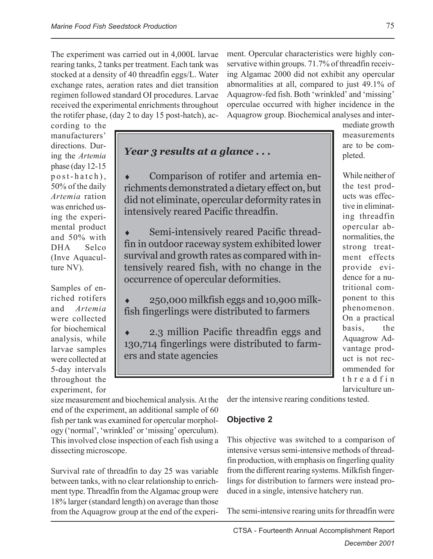The experiment was carried out in 4,000L larvae rearing tanks, 2 tanks per treatment. Each tank was stocked at a density of 40 threadfin eggs/L. Water exchange rates, aeration rates and diet transition regimen followed standard OI procedures. Larvae received the experimental enrichments throughout the rotifer phase, (day 2 to day 15 post-hatch), ac-

ment. Opercular characteristics were highly conservative within groups. 71.7% of threadfin receiving Algamac 2000 did not exhibit any opercular abnormalities at all, compared to just 49.1% of Aquagrow-fed fish. Both 'wrinkled' and 'missing' operculae occurred with higher incidence in the Aquagrow group. Biochemical analyses and inter-

cording to the manufacturers' directions. During the *Artemia* phase (day 12-15 post-hatch), 50% of the daily *Artemia* ration was enriched using the experimental product and 50% with DHA Selco (Inve Aquaculture NV).

Samples of enriched rotifers and *Artemia* were collected for biochemical analysis, while larvae samples were collected at 5-day intervals throughout the experiment, for

*Year 3 results at a glance . . .*

Comparison of rotifer and artemia enrichments demonstrated a dietary effect on, but did not eliminate, opercular deformity rates in intensively reared Pacific threadfin.

Semi-intensively reared Pacific threadfin in outdoor raceway system exhibited lower survival and growth rates as compared with intensively reared fish, with no change in the occurrence of opercular deformities.

♦ 250,000 milkfish eggs and 10,900 milkfish fingerlings were distributed to farmers

2.3 million Pacific threadfin eggs and 130,714 fingerlings were distributed to farmers and state agencies

mediate growth measurements are to be completed.

While neither of the test products was effective in eliminating threadfin opercular abnormalities, the strong treatment effects provide evidence for a nutritional component to this phenomenon. On a practical basis, the Aquagrow Advantage product is not recommended for threadfin larviculture un-

size measurement and biochemical analysis. At the end of the experiment, an additional sample of 60 fish per tank was examined for opercular morphology ('normal', 'wrinkled' or 'missing' operculum). This involved close inspection of each fish using a dissecting microscope.

Survival rate of threadfin to day 25 was variable between tanks, with no clear relationship to enrichment type. Threadfin from the Algamac group were 18% larger (standard length) on average than those from the Aquagrow group at the end of the experider the intensive rearing conditions tested.

#### **Objective 2**

This objective was switched to a comparison of intensive versus semi-intensive methods of threadfin production, with emphasis on fingerling quality from the different rearing systems. Milkfish fingerlings for distribution to farmers were instead produced in a single, intensive hatchery run.

The semi-intensive rearing units for threadfin were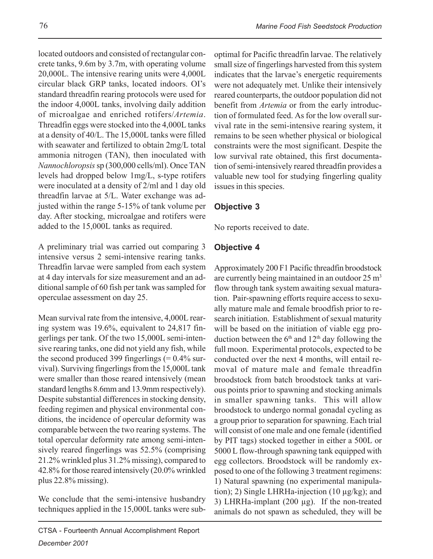located outdoors and consisted of rectangular concrete tanks, 9.6m by 3.7m, with operating volume 20,000L. The intensive rearing units were 4,000L circular black GRP tanks, located indoors. OI's standard threadfin rearing protocols were used for the indoor 4,000L tanks, involving daily addition of microalgae and enriched rotifers/*Artemia*. Threadfin eggs were stocked into the 4,000L tanks at a density of 40/L. The 15,000L tanks were filled with seawater and fertilized to obtain 2mg/L total ammonia nitrogen (TAN), then inoculated with *Nannochloropsis* sp (300,000 cells/ml). Once TAN levels had dropped below 1mg/L, s-type rotifers were inoculated at a density of 2/ml and 1 day old threadfin larvae at 5/L. Water exchange was adjusted within the range 5-15% of tank volume per day. After stocking, microalgae and rotifers were added to the 15,000L tanks as required.

A preliminary trial was carried out comparing 3 intensive versus 2 semi-intensive rearing tanks. Threadfin larvae were sampled from each system at 4 day intervals for size measurement and an additional sample of 60 fish per tank was sampled for operculae assessment on day 25.

Mean survival rate from the intensive, 4,000L rearing system was 19.6%, equivalent to 24,817 fingerlings per tank. Of the two 15,000L semi-intensive rearing tanks, one did not yield any fish, while the second produced 399 fingerlings  $(= 0.4\%$  survival). Surviving fingerlings from the 15,000L tank were smaller than those reared intensively (mean standard lengths 8.6mm and 13.9mm respectively). Despite substantial differences in stocking density, feeding regimen and physical environmental conditions, the incidence of opercular deformity was comparable between the two rearing systems. The total opercular deformity rate among semi-intensively reared fingerlings was 52.5% (comprising 21.2% wrinkled plus 31.2% missing), compared to 42.8% for those reared intensively (20.0% wrinkled plus 22.8% missing).

We conclude that the semi-intensive husbandry techniques applied in the 15,000L tanks were sub-

optimal for Pacific threadfin larvae. The relatively small size of fingerlings harvested from this system indicates that the larvae's energetic requirements were not adequately met. Unlike their intensively reared counterparts, the outdoor population did not benefit from *Artemia* or from the early introduction of formulated feed. As for the low overall survival rate in the semi-intensive rearing system, it remains to be seen whether physical or biological constraints were the most significant. Despite the low survival rate obtained, this first documentation of semi-intensively reared threadfin provides a valuable new tool for studying fingerling quality issues in this species.

### **Objective 3**

No reports received to date.

### **Objective 4**

Approximately 200 F1 Pacific threadfin broodstock are currently being maintained in an outdoor  $25 \text{ m}^3$ flow through tank system awaiting sexual maturation. Pair-spawning efforts require access to sexually mature male and female broodfish prior to research initiation. Establishment of sexual maturity will be based on the initiation of viable egg production between the  $6<sup>th</sup>$  and  $12<sup>th</sup>$  day following the full moon. Experimental protocols, expected to be conducted over the next 4 months, will entail removal of mature male and female threadfin broodstock from batch broodstock tanks at various points prior to spawning and stocking animals in smaller spawning tanks. This will allow broodstock to undergo normal gonadal cycling as a group prior to separation for spawning. Each trial will consist of one male and one female (identified by PIT tags) stocked together in either a 500L or 5000 L flow-through spawning tank equipped with egg collectors. Broodstock will be randomly exposed to one of the following 3 treatment regimens: 1) Natural spawning (no experimental manipulation); 2) Single LHRHa-injection (10 µg/kg); and 3) LHRHa-implant  $(200 \mu g)$ . If the non-treated animals do not spawn as scheduled, they will be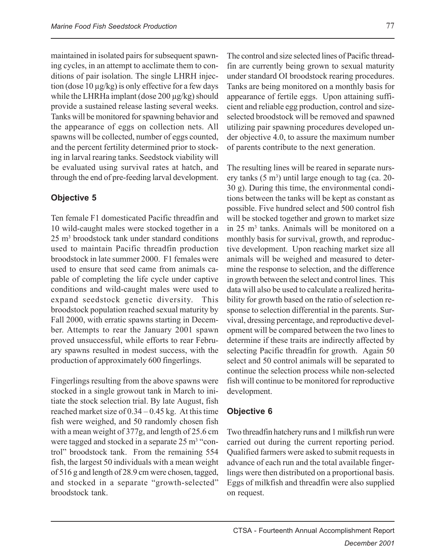maintained in isolated pairs for subsequent spawning cycles, in an attempt to acclimate them to conditions of pair isolation. The single LHRH injection (dose 10 µg/kg) is only effective for a few days while the LHRHa implant (dose 200 µg/kg) should provide a sustained release lasting several weeks. Tanks will be monitored for spawning behavior and the appearance of eggs on collection nets. All spawns will be collected, number of eggs counted, and the percent fertility determined prior to stocking in larval rearing tanks. Seedstock viability will be evaluated using survival rates at hatch, and through the end of pre-feeding larval development.

### **Objective 5**

Ten female F1 domesticated Pacific threadfin and 10 wild-caught males were stocked together in a 25 m3 broodstock tank under standard conditions used to maintain Pacific threadfin production broodstock in late summer 2000. F1 females were used to ensure that seed came from animals capable of completing the life cycle under captive conditions and wild-caught males were used to expand seedstock genetic diversity. This broodstock population reached sexual maturity by Fall 2000, with erratic spawns starting in December. Attempts to rear the January 2001 spawn proved unsuccessful, while efforts to rear February spawns resulted in modest success, with the production of approximately 600 fingerlings.

Fingerlings resulting from the above spawns were stocked in a single growout tank in March to initiate the stock selection trial. By late August, fish reached market size of 0.34 – 0.45 kg. At this time fish were weighed, and 50 randomly chosen fish with a mean weight of 377g, and length of 25.6 cm were tagged and stocked in a separate 25 m<sup>3</sup> "control" broodstock tank. From the remaining 554 fish, the largest 50 individuals with a mean weight of 516 g and length of 28.9 cm were chosen, tagged, and stocked in a separate "growth-selected" broodstock tank.

The control and size selected lines of Pacific threadfin are currently being grown to sexual maturity under standard OI broodstock rearing procedures. Tanks are being monitored on a monthly basis for appearance of fertile eggs. Upon attaining sufficient and reliable egg production, control and sizeselected broodstock will be removed and spawned utilizing pair spawning procedures developed under objective 4.0, to assure the maximum number of parents contribute to the next generation.

The resulting lines will be reared in separate nursery tanks  $(5 \text{ m}^3)$  until large enough to tag (ca. 20-30 g). During this time, the environmental conditions between the tanks will be kept as constant as possible. Five hundred select and 500 control fish will be stocked together and grown to market size in 25 m<sup>3</sup> tanks. Animals will be monitored on a monthly basis for survival, growth, and reproductive development. Upon reaching market size all animals will be weighed and measured to determine the response to selection, and the difference in growth between the select and control lines. This data will also be used to calculate a realized heritability for growth based on the ratio of selection response to selection differential in the parents. Survival, dressing percentage, and reproductive development will be compared between the two lines to determine if these traits are indirectly affected by selecting Pacific threadfin for growth. Again 50 select and 50 control animals will be separated to continue the selection process while non-selected fish will continue to be monitored for reproductive development.

### **Objective 6**

Two threadfin hatchery runs and 1 milkfish run were carried out during the current reporting period. Qualified farmers were asked to submit requests in advance of each run and the total available fingerlings were then distributed on a proportional basis. Eggs of milkfish and threadfin were also supplied on request.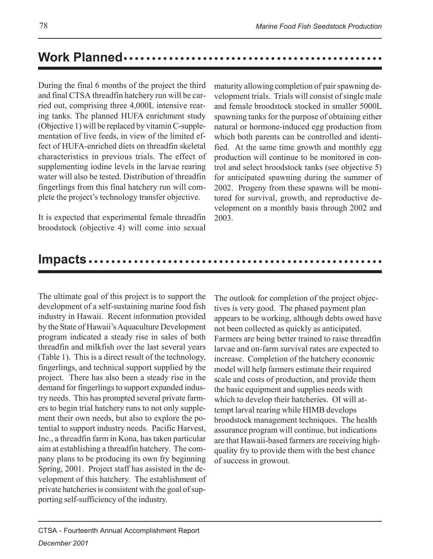#### ○○○○○○○○○○○○○○○○○○○○○○○○○○○○○○○○○○ ○○○○○○○○○○○○ **Work Planned**

During the final 6 months of the project the third and final CTSA threadfin hatchery run will be carried out, comprising three 4,000L intensive rearing tanks. The planned HUFA enrichment study (Objective 1) will be replaced by vitamin C-supplementation of live feeds, in view of the limited effect of HUFA-enriched diets on threadfin skeletal characteristics in previous trials. The effect of supplementing iodine levels in the larvae rearing water will also be tested. Distribution of threadfin fingerlings from this final hatchery run will complete the project's technology transfer objective.

It is expected that experimental female threadfin broodstock (objective 4) will come into sexual

maturity allowing completion of pair spawning development trials. Trials will consist of single male and female broodstock stocked in smaller 5000L spawning tanks for the purpose of obtaining either natural or hormone-induced egg production from which both parents can be controlled and identified. At the same time growth and monthly egg production will continue to be monitored in control and select broodstock tanks (see objective 5) for anticipated spawning during the summer of 2002. Progeny from these spawns will be monitored for survival, growth, and reproductive development on a monthly basis through 2002 and 2003.

### **Impacts......**

The ultimate goal of this project is to support the development of a self-sustaining marine food fish industry in Hawaii. Recent information provided by the State of Hawaii's Aquaculture Development program indicated a steady rise in sales of both threadfin and milkfish over the last several years (Table 1). This is a direct result of the technology, fingerlings, and technical support supplied by the project. There has also been a steady rise in the demand for fingerlings to support expanded industry needs. This has prompted several private farmers to begin trial hatchery runs to not only supplement their own needs, but also to explore the potential to support industry needs. Pacific Harvest, Inc., a threadfin farm in Kona, has taken particular aim at establishing a threadfin hatchery. The company plans to be producing its own fry beginning Spring, 2001. Project staff has assisted in the development of this hatchery. The establishment of private hatcheries is consistent with the goal of supporting self-sufficiency of the industry.

The outlook for completion of the project objectives is very good. The phased payment plan appears to be working, although debts owed have not been collected as quickly as anticipated. Farmers are being better trained to raise threadfin larvae and on-farm survival rates are expected to increase. Completion of the hatchery economic model will help farmers estimate their required scale and costs of production, and provide them the basic equipment and supplies needs with which to develop their hatcheries. OI will attempt larval rearing while HIMB develops broodstock management techniques. The health assurance program will continue, but indications are that Hawaii-based farmers are receiving highquality fry to provide them with the best chance of success in growout.